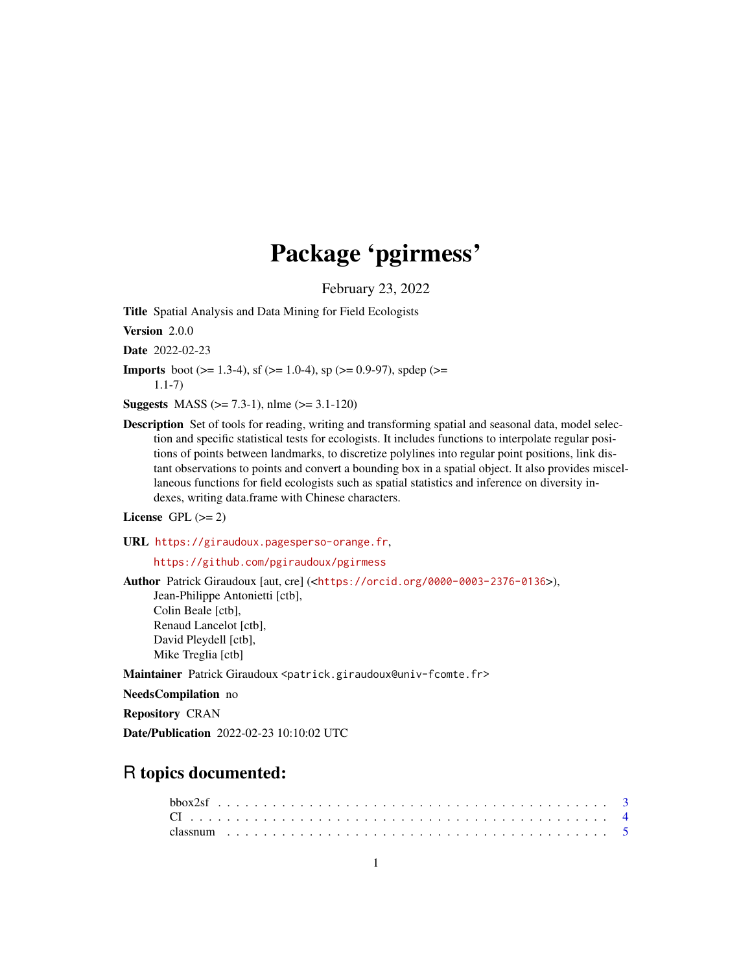# Package 'pgirmess'

February 23, 2022

<span id="page-0-0"></span>Title Spatial Analysis and Data Mining for Field Ecologists

Version 2.0.0

Date 2022-02-23

**Imports** boot ( $> = 1.3-4$ ), sf ( $> = 1.0-4$ ), sp ( $> = 0.9-97$ ), spdep ( $> =$ 1.1-7)

**Suggests** MASS ( $>= 7.3-1$ ), nlme ( $>= 3.1-120$ )

Description Set of tools for reading, writing and transforming spatial and seasonal data, model selection and specific statistical tests for ecologists. It includes functions to interpolate regular positions of points between landmarks, to discretize polylines into regular point positions, link distant observations to points and convert a bounding box in a spatial object. It also provides miscellaneous functions for field ecologists such as spatial statistics and inference on diversity indexes, writing data.frame with Chinese characters.

License GPL  $(>= 2)$ 

URL <https://giraudoux.pagesperso-orange.fr>,

<https://github.com/pgiraudoux/pgirmess>

Author Patrick Giraudoux [aut, cre] (<<https://orcid.org/0000-0003-2376-0136>>), Jean-Philippe Antonietti [ctb], Colin Beale [ctb], Renaud Lancelot [ctb], David Pleydell [ctb], Mike Treglia [ctb]

Maintainer Patrick Giraudoux <patrick.giraudoux@univ-fcomte.fr>

NeedsCompilation no

Repository CRAN

Date/Publication 2022-02-23 10:10:02 UTC

# R topics documented: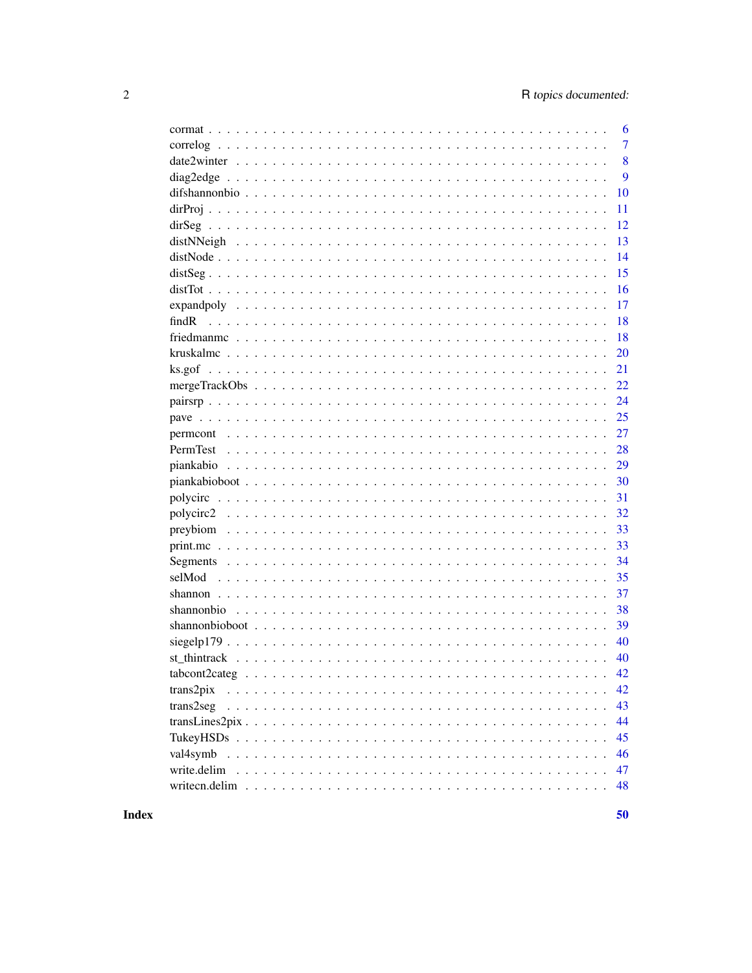|              | 6              |
|--------------|----------------|
|              | $\overline{7}$ |
|              | 8              |
|              | 9              |
|              | 10             |
|              | 11             |
|              | 12             |
|              | 13             |
|              | 14             |
|              | 15             |
|              | 16             |
|              | 17             |
| findR        | 18             |
|              | 18             |
|              | 20             |
|              | 21             |
|              | 22             |
|              | 24             |
|              | 25             |
|              | 27             |
| PermTest     | 28             |
|              | 29             |
|              | 30             |
|              | 31             |
|              | 32             |
|              | 33             |
|              | 33             |
|              | 34             |
|              | 35             |
|              | 37             |
|              | 38             |
|              | 39             |
|              | 40             |
|              | 40             |
|              | 42             |
| $trans2$ pix | 42             |
| trans2seg    | 43             |
|              | 44             |
|              | 45             |
| val4symb     | 46             |
| write.delim  | 47             |
|              | 48             |
|              |                |

**Index**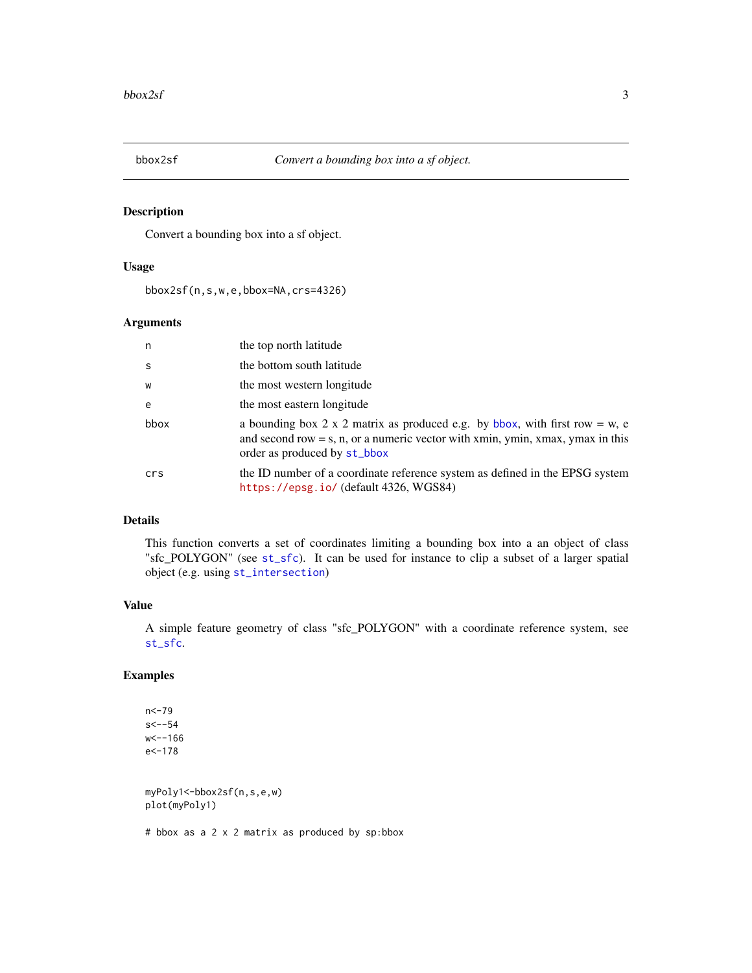<span id="page-2-0"></span>

Convert a bounding box into a sf object.

## Usage

bbox2sf(n,s,w,e,bbox=NA,crs=4326)

# Arguments

| n    | the top north latitude                                                                                                                                                                          |
|------|-------------------------------------------------------------------------------------------------------------------------------------------------------------------------------------------------|
| S    | the bottom south latitude                                                                                                                                                                       |
| W    | the most western longitude                                                                                                                                                                      |
| e    | the most eastern longitude                                                                                                                                                                      |
| bbox | a bounding box 2 x 2 matrix as produced e.g. by bbox, with first row = w, e<br>and second row $=$ s, n, or a numeric vector with xmin, ymin, xmax, ymax in this<br>order as produced by st_bbox |
| crs  | the ID number of a coordinate reference system as defined in the EPSG system<br>https://epsg.io/(default 4326, WGS84)                                                                           |

# Details

This function converts a set of coordinates limiting a bounding box into a an object of class "sfc\_POLYGON" (see [st\\_sfc](#page-0-0)). It can be used for instance to clip a subset of a larger spatial object (e.g. using [st\\_intersection](#page-0-0))

# Value

A simple feature geometry of class "sfc\_POLYGON" with a coordinate reference system, see [st\\_sfc](#page-0-0).

# Examples

n<-79 s<--54  $w< -166$ e<-178 myPoly1<-bbox2sf(n,s,e,w) plot(myPoly1) # bbox as a 2 x 2 matrix as produced by sp:bbox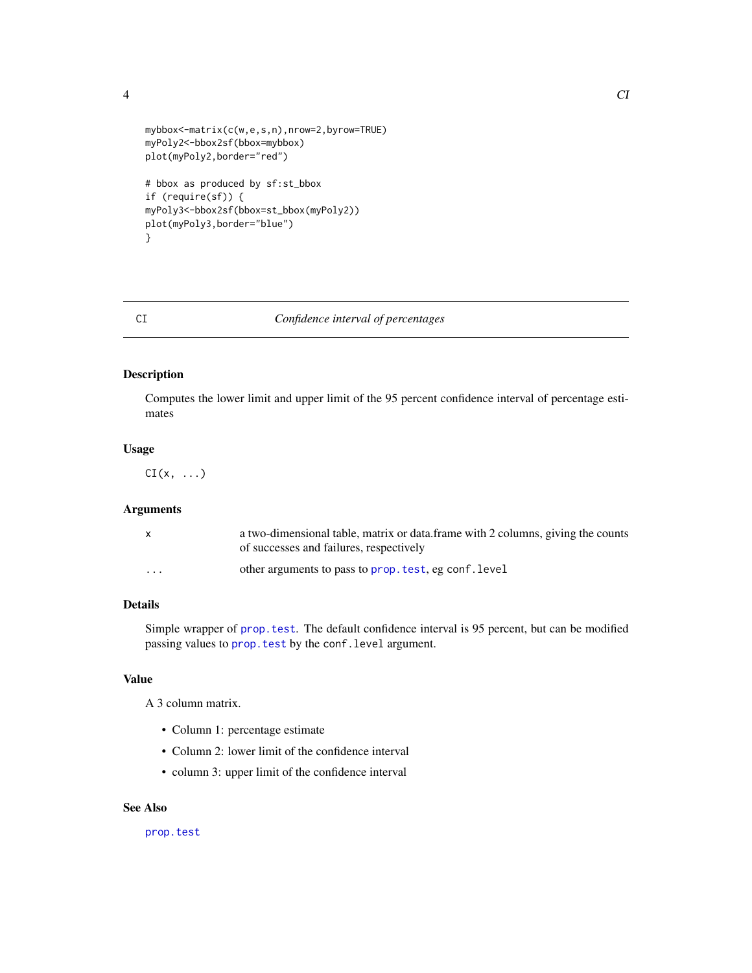<span id="page-3-0"></span>

```
mybbox<-matrix(c(w,e,s,n),nrow=2,byrow=TRUE)
myPoly2<-bbox2sf(bbox=mybbox)
plot(myPoly2,border="red")
# bbox as produced by sf:st_bbox
if (require(sf)) {
myPoly3<-bbox2sf(bbox=st_bbox(myPoly2))
plot(myPoly3,border="blue")
}
```
# CI *Confidence interval of percentages*

# Description

Computes the lower limit and upper limit of the 95 percent confidence interval of percentage estimates

# Usage

 $CI(x, \ldots)$ 

## Arguments

| X        | a two-dimensional table, matrix or data. frame with 2 columns, giving the counts<br>of successes and failures, respectively |
|----------|-----------------------------------------------------------------------------------------------------------------------------|
| $\cdots$ | other arguments to pass to prop. test, eg conf. level                                                                       |

# Details

Simple wrapper of [prop.test](#page-0-0). The default confidence interval is 95 percent, but can be modified passing values to prop. test by the conf. level argument.

## Value

A 3 column matrix.

- Column 1: percentage estimate
- Column 2: lower limit of the confidence interval
- column 3: upper limit of the confidence interval

## See Also

[prop.test](#page-0-0)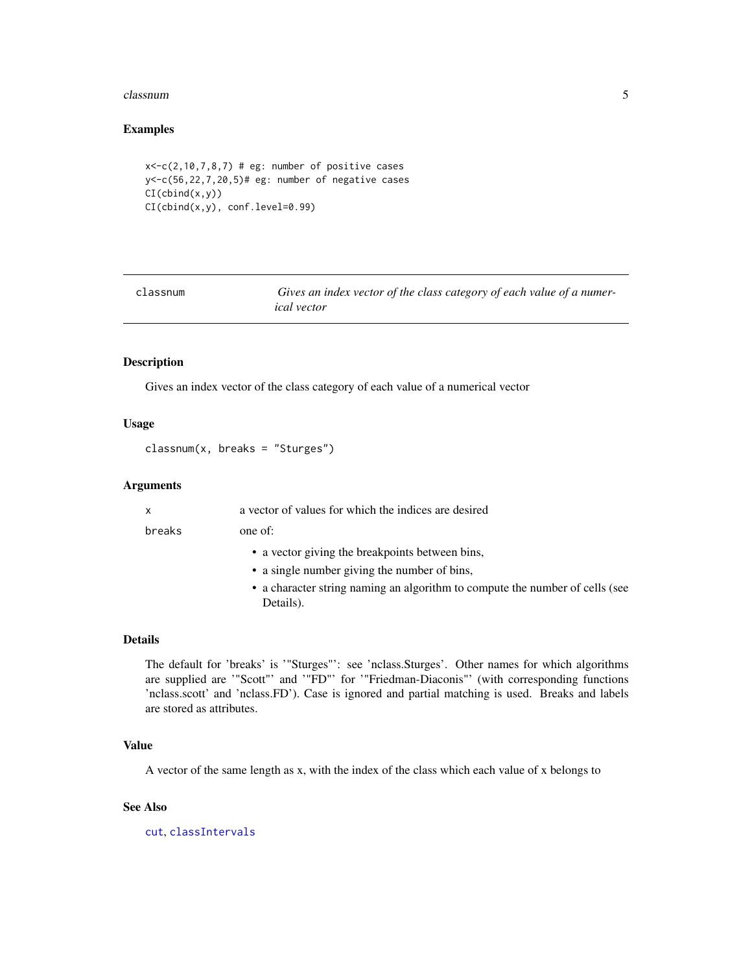#### <span id="page-4-0"></span>classnum 5

## Examples

```
x < -c(2, 10, 7, 8, 7) # eg: number of positive cases
y<-c(56,22,7,20,5)# eg: number of negative cases
CI(cbind(x,y))
CI(cbind(x,y), conf.level=0.99)
```

| classnum | Gives an index vector of the class category of each value of a numer- |
|----------|-----------------------------------------------------------------------|
|          | <i>ical</i> vector                                                    |

# Description

Gives an index vector of the class category of each value of a numerical vector

# Usage

classnum(x, breaks = "Sturges")

# Arguments

| x      | a vector of values for which the indices are desired                                      |
|--------|-------------------------------------------------------------------------------------------|
| breaks | one of:                                                                                   |
|        | • a vector giving the breakpoints between bins,                                           |
|        | • a single number giving the number of bins,                                              |
|        | • a character string naming an algorithm to compute the number of cells (see<br>Details). |
|        |                                                                                           |

## Details

The default for 'breaks' is '"Sturges"': see 'nclass.Sturges'. Other names for which algorithms are supplied are '"Scott"' and '"FD"' for '"Friedman-Diaconis"' (with corresponding functions 'nclass.scott' and 'nclass.FD'). Case is ignored and partial matching is used. Breaks and labels are stored as attributes.

#### Value

A vector of the same length as x, with the index of the class which each value of x belongs to

# See Also

[cut](#page-0-0), [classIntervals](#page-0-0)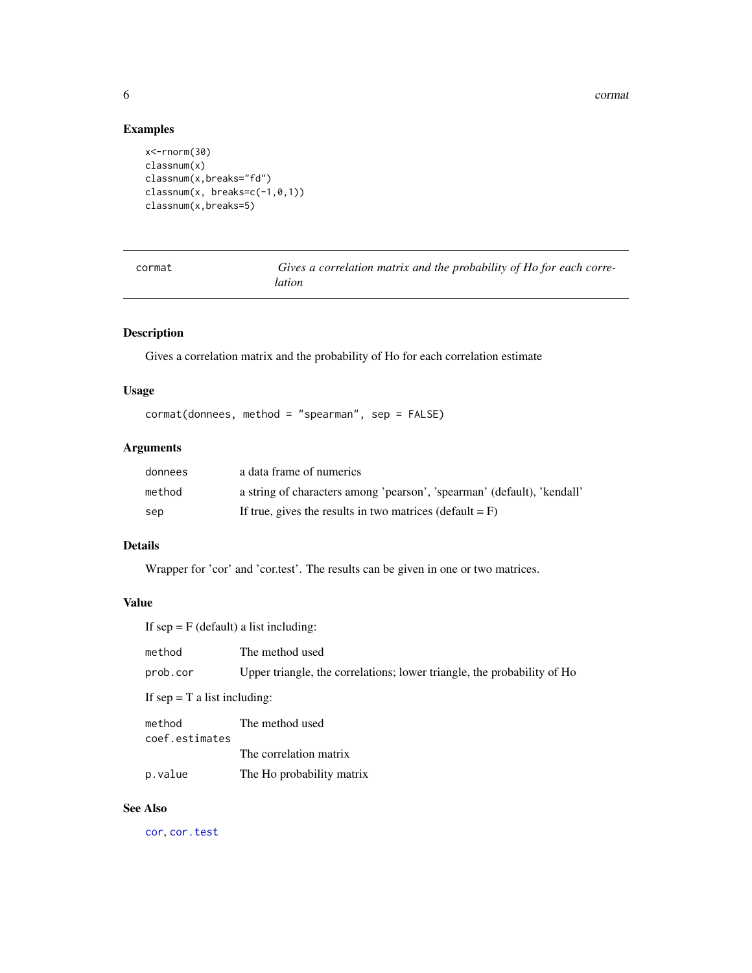6 community of the correction of the correction of the correction of the correction of the correction of the correction of the correction of the correction of the correction of the correction of the correction of the corre

# Examples

```
x<-rnorm(30)
classnum(x)
classnum(x,breaks="fd")
classnum(x, breaks=c(-1,0,1))
classnum(x,breaks=5)
```

| cormat | Gives a correlation matrix and the probability of Ho for each corre- |
|--------|----------------------------------------------------------------------|
|        | lation                                                               |

# Description

Gives a correlation matrix and the probability of Ho for each correlation estimate

# Usage

```
cormat(donnees, method = "spearman", sep = FALSE)
```
# Arguments

| donnees | a data frame of numerics                                                |
|---------|-------------------------------------------------------------------------|
| method  | a string of characters among 'pearson', 'spearman' (default), 'kendall' |
| sep     | If true, gives the results in two matrices (default $=$ F)              |

# Details

Wrapper for 'cor' and 'cor.test'. The results can be given in one or two matrices.

# Value

If  $sep = F$  (default) a list including:

| method                         | The method used                                                         |
|--------------------------------|-------------------------------------------------------------------------|
| prob.cor                       | Upper triangle, the correlations; lower triangle, the probability of Ho |
| If sep = $T$ a list including: |                                                                         |
| method<br>coef.estimates       | The method used                                                         |
|                                | The correlation matrix                                                  |

# p.value The Ho probability matrix

# See Also

[cor](#page-0-0), [cor.test](#page-0-0)

<span id="page-5-0"></span>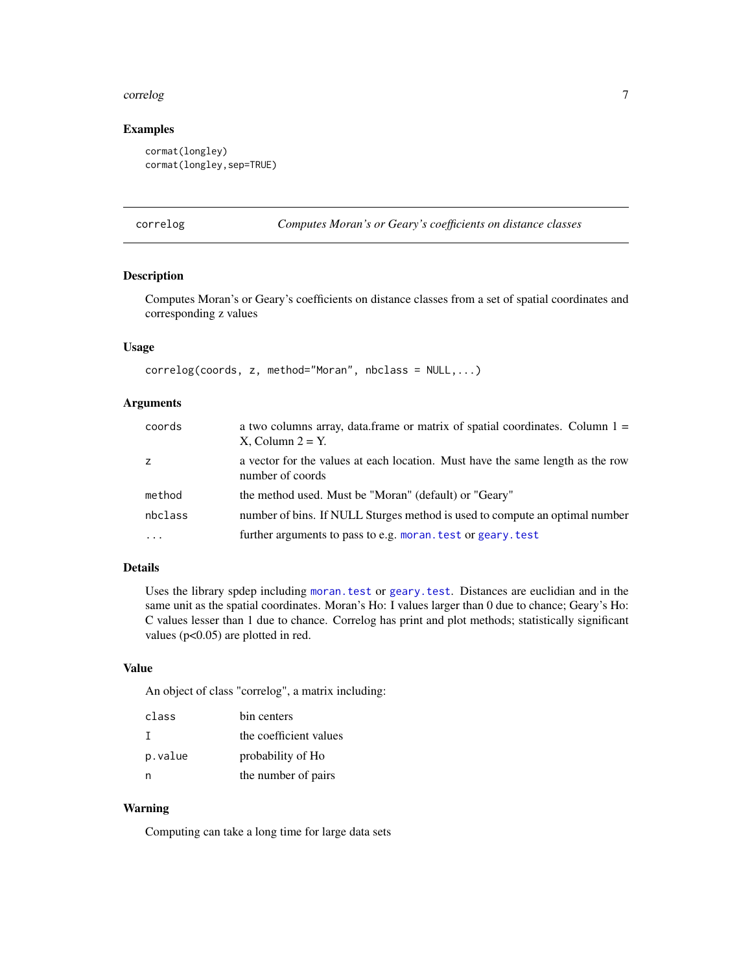## <span id="page-6-0"></span>correlog **7**

# Examples

```
cormat(longley)
cormat(longley,sep=TRUE)
```
correlog *Computes Moran's or Geary's coefficients on distance classes*

# Description

Computes Moran's or Geary's coefficients on distance classes from a set of spatial coordinates and corresponding z values

## Usage

```
correlog(coords, z, method="Moran", nbclass = NULL,...)
```
## Arguments

| coords  | a two columns array, data.frame or matrix of spatial coordinates. Column $1 =$<br>$X$ , Column $2 = Y$ . |
|---------|----------------------------------------------------------------------------------------------------------|
| z       | a vector for the values at each location. Must have the same length as the row<br>number of coords       |
| method  | the method used. Must be "Moran" (default) or "Geary"                                                    |
| nbclass | number of bins. If NULL Sturges method is used to compute an optimal number                              |
|         | further arguments to pass to e.g. moran. test or geary. test                                             |

# Details

Uses the library spdep including [moran.test](#page-0-0) or [geary.test](#page-0-0). Distances are euclidian and in the same unit as the spatial coordinates. Moran's Ho: I values larger than 0 due to chance; Geary's Ho: C values lesser than 1 due to chance. Correlog has print and plot methods; statistically significant values (p<0.05) are plotted in red.

# Value

An object of class "correlog", a matrix including:

| class   | bin centers            |
|---------|------------------------|
| Т       | the coefficient values |
| p.value | probability of Ho      |
| n       | the number of pairs    |

# Warning

Computing can take a long time for large data sets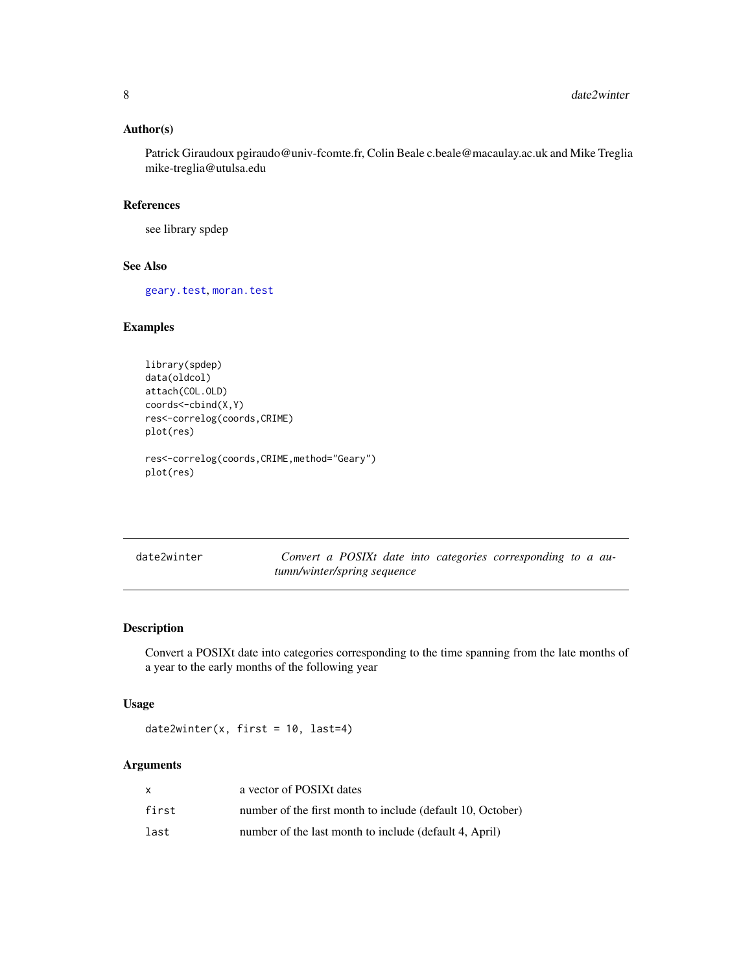# <span id="page-7-0"></span>Author(s)

Patrick Giraudoux pgiraudo@univ-fcomte.fr, Colin Beale c.beale@macaulay.ac.uk and Mike Treglia mike-treglia@utulsa.edu

## References

see library spdep

# See Also

[geary.test](#page-0-0), [moran.test](#page-0-0)

## Examples

```
library(spdep)
data(oldcol)
attach(COL.OLD)
coords<-cbind(X,Y)
res<-correlog(coords,CRIME)
plot(res)
res<-correlog(coords,CRIME,method="Geary")
plot(res)
```

| date2winter |                             |  |  | Convert a POSIXt date into categories corresponding to a au- |  |  |
|-------------|-----------------------------|--|--|--------------------------------------------------------------|--|--|
|             | tumn/winter/spring sequence |  |  |                                                              |  |  |

# Description

Convert a POSIXt date into categories corresponding to the time spanning from the late months of a year to the early months of the following year

# Usage

date2winter(x, first = 10, last=4)

# Arguments

|       | a vector of POSIXt dates                                   |
|-------|------------------------------------------------------------|
| first | number of the first month to include (default 10, October) |
| last  | number of the last month to include (default 4, April)     |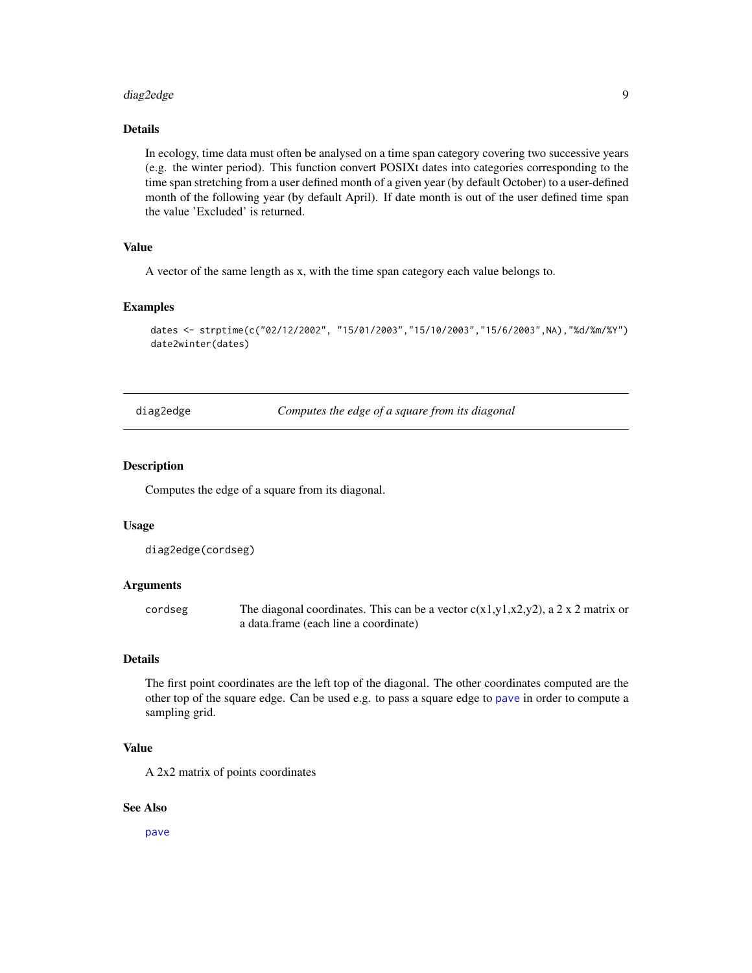#### <span id="page-8-0"></span>diag2edge 9

# Details

In ecology, time data must often be analysed on a time span category covering two successive years (e.g. the winter period). This function convert POSIXt dates into categories corresponding to the time span stretching from a user defined month of a given year (by default October) to a user-defined month of the following year (by default April). If date month is out of the user defined time span the value 'Excluded' is returned.

# Value

A vector of the same length as x, with the time span category each value belongs to.

#### Examples

```
dates <- strptime(c("02/12/2002", "15/01/2003","15/10/2003","15/6/2003",NA),"%d/%m/%Y")
date2winter(dates)
```
<span id="page-8-1"></span>diag2edge *Computes the edge of a square from its diagonal*

## Description

Computes the edge of a square from its diagonal.

## Usage

diag2edge(cordseg)

## **Arguments**

cordseg The diagonal coordinates. This can be a vector  $c(x1,y1,x2,y2)$ , a 2 x 2 matrix or a data.frame (each line a coordinate)

# Details

The first point coordinates are the left top of the diagonal. The other coordinates computed are the other top of the square edge. Can be used e.g. to pass a square edge to [pave](#page-24-1) in order to compute a sampling grid.

## Value

A 2x2 matrix of points coordinates

## See Also

[pave](#page-24-1)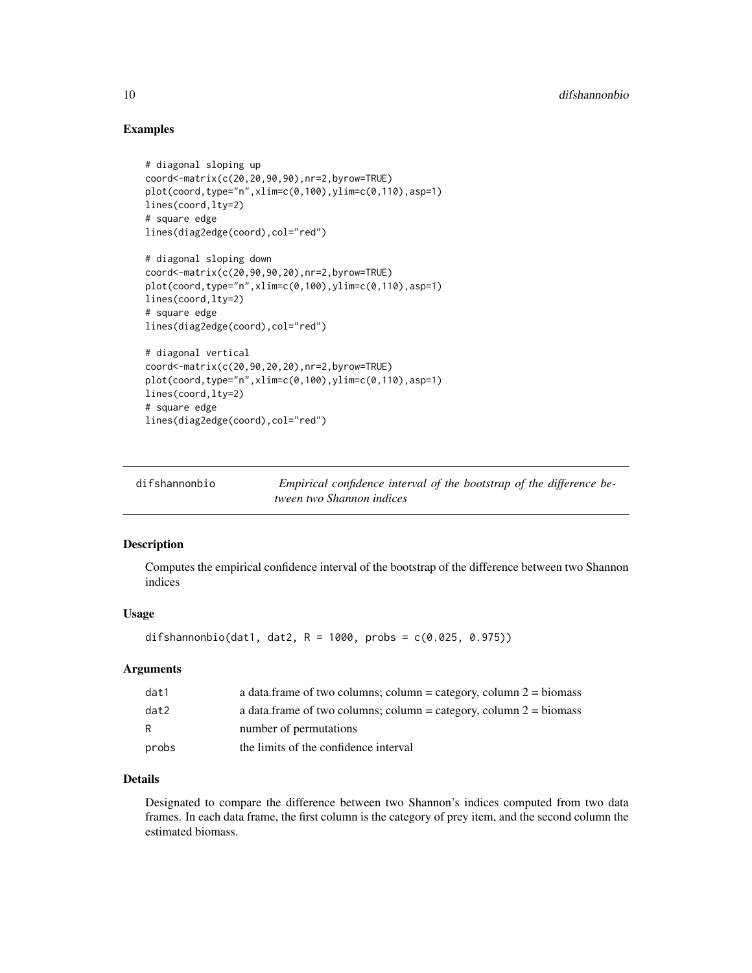# Examples

```
# diagonal sloping up
coord<-matrix(c(20,20,90,90),nr=2,byrow=TRUE)
plot(coord,type="n",xlim=c(0,100),ylim=c(0,110),asp=1)
lines(coord,lty=2)
# square edge
lines(diag2edge(coord),col="red")
# diagonal sloping down
coord<-matrix(c(20,90,90,20),nr=2,byrow=TRUE)
plot(coord,type="n",xlim=c(0,100),ylim=c(0,110),asp=1)
lines(coord,lty=2)
# square edge
lines(diag2edge(coord),col="red")
# diagonal vertical
coord<-matrix(c(20,90,20,20),nr=2,byrow=TRUE)
plot(cord,type="n", xlim=c(0,100), ylim=c(0,110),asp=1)lines(coord,lty=2)
# square edge
lines(diag2edge(coord),col="red")
```
<span id="page-9-1"></span>

| difshannonbio | Empirical confidence interval of the bootstrap of the difference be- |
|---------------|----------------------------------------------------------------------|
|               | tween two Shannon indices                                            |

## Description

Computes the empirical confidence interval of the bootstrap of the difference between two Shannon indices

# Usage

```
difshannonbio(dat1, dat2, R = 1000, probs = c(0.025, 0.975))
```
## Arguments

| dat1  | a data.frame of two columns; column = category, column $2 = \text{biomass}$ |
|-------|-----------------------------------------------------------------------------|
| dat2  | a data.frame of two columns; column = category, column $2 = \text{biomass}$ |
| R     | number of permutations                                                      |
| probs | the limits of the confidence interval                                       |

# Details

Designated to compare the difference between two Shannon's indices computed from two data frames. In each data frame, the first column is the category of prey item, and the second column the estimated biomass.

<span id="page-9-0"></span>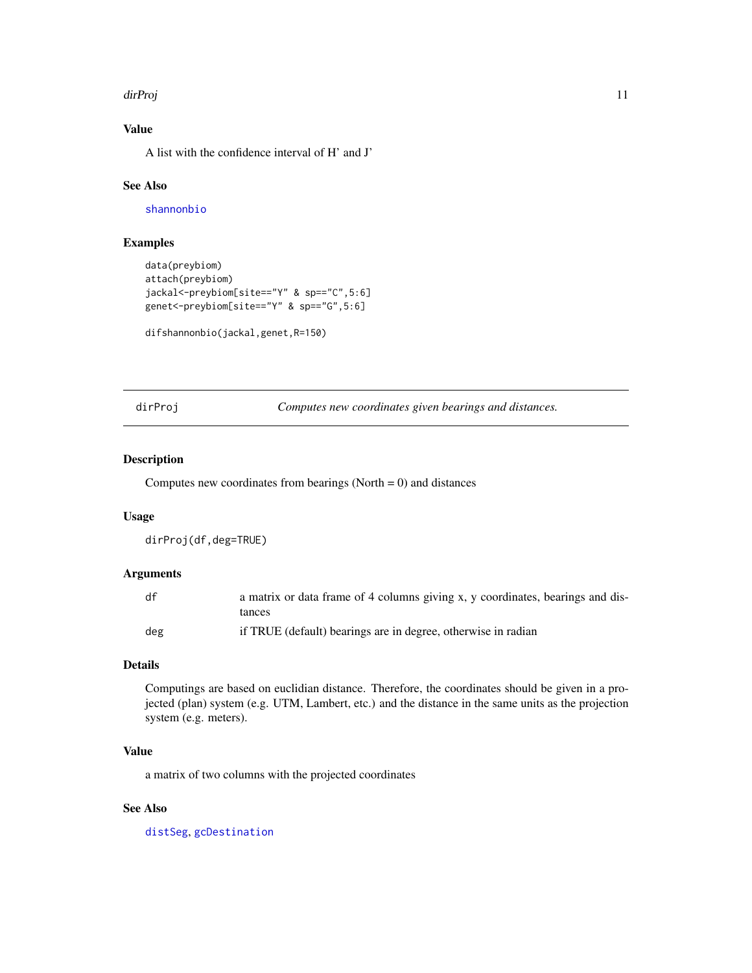## <span id="page-10-0"></span>dirProj terminalno di alternativo di alternativo di alternativo di alternativo di alternativo di alternativo d

# Value

A list with the confidence interval of H' and J'

# See Also

[shannonbio](#page-37-1)

# Examples

```
data(preybiom)
attach(preybiom)
jackal<-preybiom[site=="Y" & sp=="C",5:6]
genet<-preybiom[site=="Y" & sp=="G",5:6]
```

```
difshannonbio(jackal,genet,R=150)
```
<span id="page-10-1"></span>dirProj *Computes new coordinates given bearings and distances.*

# Description

Computes new coordinates from bearings (North  $= 0$ ) and distances

## Usage

dirProj(df,deg=TRUE)

# Arguments

| df  | a matrix or data frame of 4 columns giving x, y coordinates, bearings and dis-<br>tances |
|-----|------------------------------------------------------------------------------------------|
| deg | if TRUE (default) bearings are in degree, otherwise in radian                            |

## Details

Computings are based on euclidian distance. Therefore, the coordinates should be given in a projected (plan) system (e.g. UTM, Lambert, etc.) and the distance in the same units as the projection system (e.g. meters).

# Value

a matrix of two columns with the projected coordinates

# See Also

[distSeg](#page-14-1), [gcDestination](#page-0-0)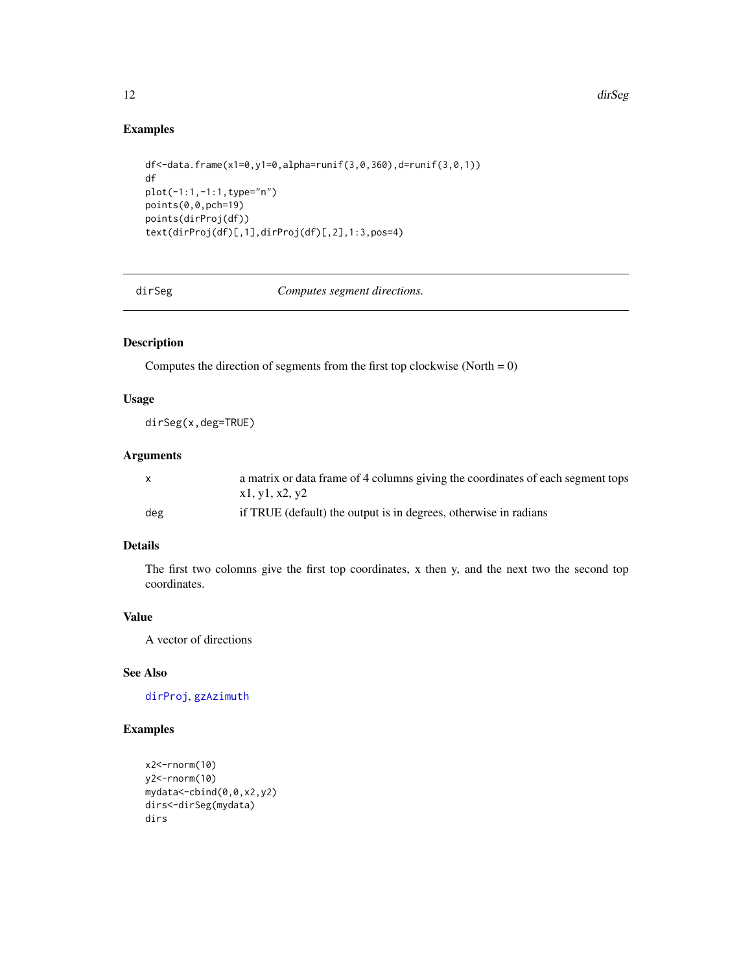# Examples

```
df<-data.frame(x1=0,y1=0,alpha=runif(3,0,360),d=runif(3,0,1))
df
plot(-1:1,-1:1,type="n")
points(0,0,pch=19)
points(dirProj(df))
text(dirProj(df)[,1],dirProj(df)[,2],1:3,pos=4)
```
dirSeg *Computes segment directions.*

# Description

Computes the direction of segments from the first top clockwise (North  $= 0$ )

# Usage

dirSeg(x,deg=TRUE)

# Arguments

| X   | a matrix or data frame of 4 columns giving the coordinates of each segment tops<br>x1, y1, x2, y2 |
|-----|---------------------------------------------------------------------------------------------------|
| deg | if TRUE (default) the output is in degrees, otherwise in radians                                  |

# Details

The first two colomns give the first top coordinates, x then y, and the next two the second top coordinates.

# Value

A vector of directions

# See Also

[dirProj](#page-10-1), [gzAzimuth](#page-0-0)

```
x2<-rnorm(10)
y2<-rnorm(10)
mydata<-cbind(0,0,x2,y2)
dirs<-dirSeg(mydata)
dirs
```
<span id="page-11-0"></span>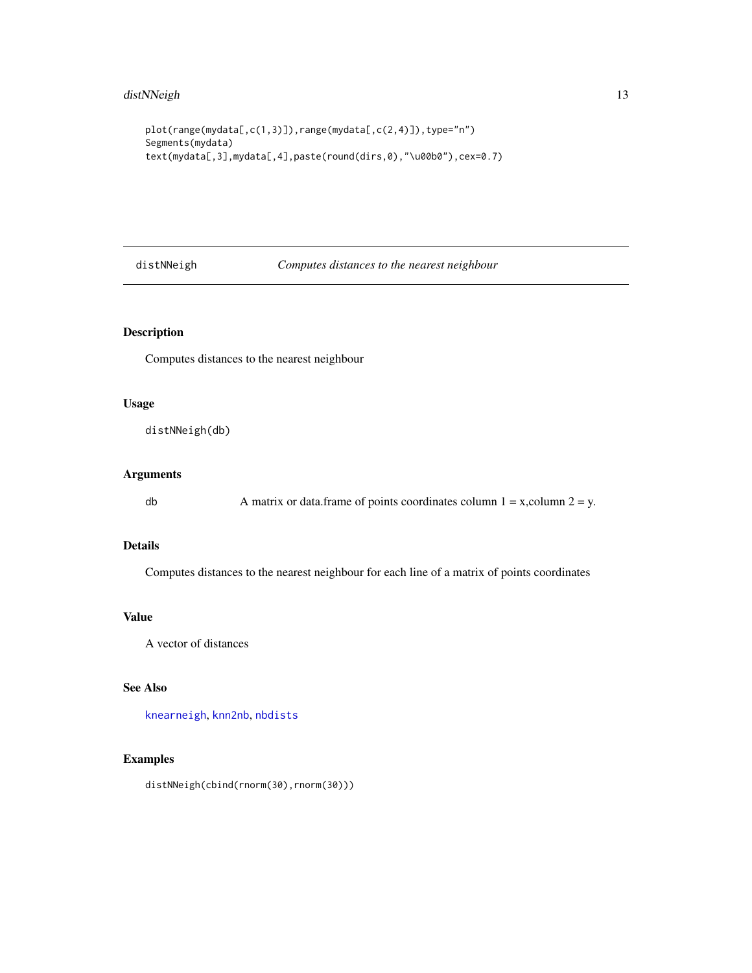```
plot(range(mydata[,c(1,3)]),range(mydata[,c(2,4)]),type="n")
Segments(mydata)
text(mydata[,3],mydata[,4],paste(round(dirs,0),"\u00b0"),cex=0.7)
```
distNNeigh *Computes distances to the nearest neighbour*

# Description

Computes distances to the nearest neighbour

## Usage

distNNeigh(db)

# Arguments

db A matrix or data.frame of points coordinates column  $1 = x$ , column  $2 = y$ .

## Details

Computes distances to the nearest neighbour for each line of a matrix of points coordinates

## Value

A vector of distances

# See Also

[knearneigh](#page-0-0), [knn2nb](#page-0-0), [nbdists](#page-0-0)

# Examples

distNNeigh(cbind(rnorm(30),rnorm(30)))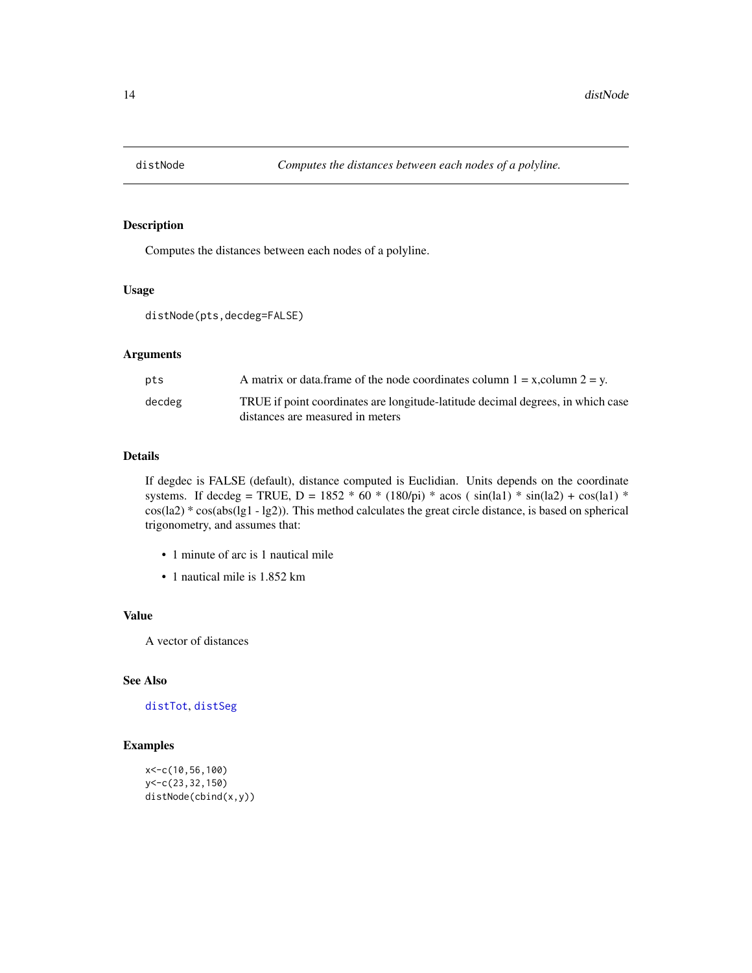<span id="page-13-1"></span><span id="page-13-0"></span>

Computes the distances between each nodes of a polyline.

# Usage

```
distNode(pts,decdeg=FALSE)
```
# Arguments

| pts    | A matrix or data frame of the node coordinates column $1 = x$ , column $2 = y$ . |
|--------|----------------------------------------------------------------------------------|
| decdeg | TRUE if point coordinates are longitude-latitude decimal degrees, in which case  |
|        | distances are measured in meters                                                 |

# Details

If degdec is FALSE (default), distance computed is Euclidian. Units depends on the coordinate systems. If decdeg = TRUE, D = 1852 \* 60 \* (180/pi) \* acos ( $sin(la1)$  \*  $sin(la2)$  +  $cos(la1)$  \* cos(la2) \* cos(abs(lg1 - lg2)). This method calculates the great circle distance, is based on spherical trigonometry, and assumes that:

- 1 minute of arc is 1 nautical mile
- 1 nautical mile is 1.852 km

## Value

A vector of distances

# See Also

[distTot](#page-15-1), [distSeg](#page-14-1)

```
x<-c(10,56,100)
y<-c(23,32,150)
distNode(cbind(x,y))
```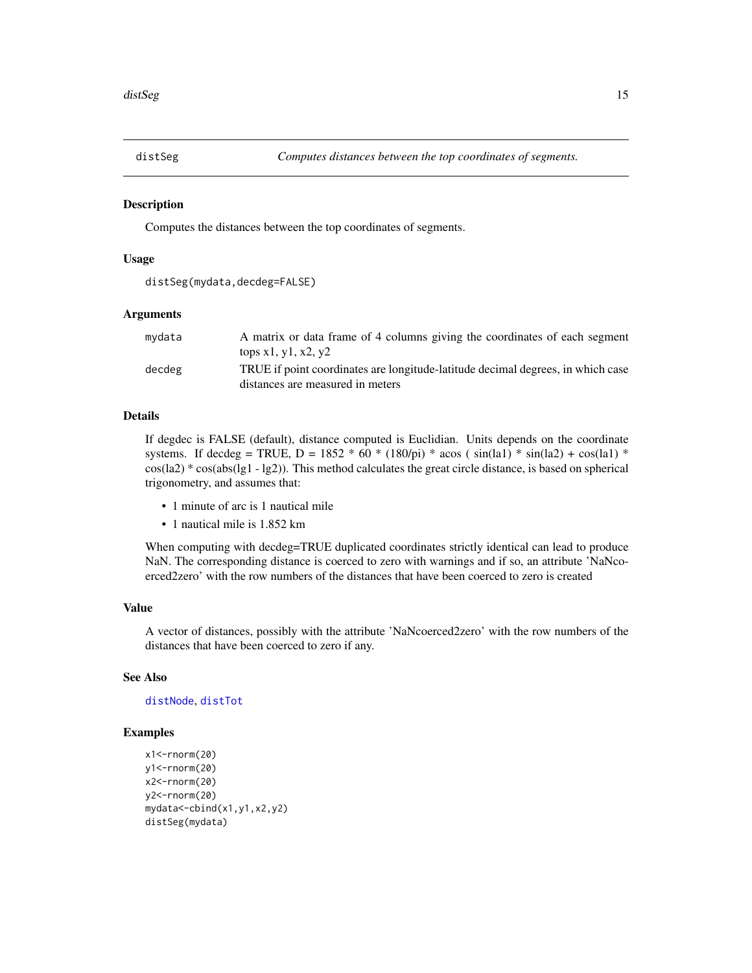<span id="page-14-1"></span><span id="page-14-0"></span>

Computes the distances between the top coordinates of segments.

## Usage

```
distSeg(mydata,decdeg=FALSE)
```
## Arguments

| mydata | A matrix or data frame of 4 columns giving the coordinates of each segment<br>tops $x1, y1, x2, y2$                 |
|--------|---------------------------------------------------------------------------------------------------------------------|
| decdeg | TRUE if point coordinates are longitude-latitude decimal degrees, in which case<br>distances are measured in meters |

# Details

If degdec is FALSE (default), distance computed is Euclidian. Units depends on the coordinate systems. If decdeg = TRUE,  $D = 1852 * 60 * (180/pi) * a cos (sin(la1) * sin(la2) + cos(la1) *$ cos(la2) \* cos(abs(lg1 - lg2)). This method calculates the great circle distance, is based on spherical trigonometry, and assumes that:

- 1 minute of arc is 1 nautical mile
- 1 nautical mile is 1.852 km

When computing with decdeg=TRUE duplicated coordinates strictly identical can lead to produce NaN. The corresponding distance is coerced to zero with warnings and if so, an attribute 'NaNcoerced2zero' with the row numbers of the distances that have been coerced to zero is created

# Value

A vector of distances, possibly with the attribute 'NaNcoerced2zero' with the row numbers of the distances that have been coerced to zero if any.

# See Also

## [distNode](#page-13-1), [distTot](#page-15-1)

```
x1<-rnorm(20)
y1<-rnorm(20)
x2<-rnorm(20)
y2<-rnorm(20)
mydata<-cbind(x1,y1,x2,y2)
distSeg(mydata)
```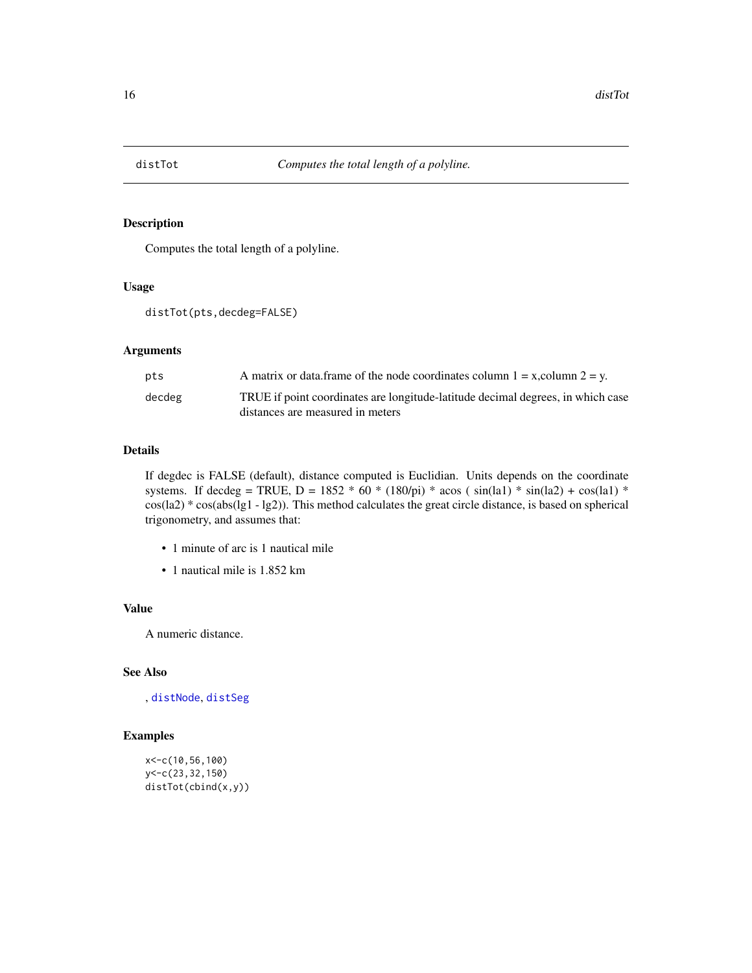<span id="page-15-1"></span><span id="page-15-0"></span>

Computes the total length of a polyline.

#### Usage

```
distTot(pts,decdeg=FALSE)
```
# Arguments

| pts    | A matrix or data frame of the node coordinates column $1 = x$ , column $2 = y$ . |
|--------|----------------------------------------------------------------------------------|
| decdeg | TRUE if point coordinates are longitude-latitude decimal degrees, in which case  |
|        | distances are measured in meters                                                 |

# Details

If degdec is FALSE (default), distance computed is Euclidian. Units depends on the coordinate systems. If decdeg = TRUE, D = 1852 \* 60 \* (180/pi) \* acos ( $sin(la1)$  \*  $sin(la2)$  +  $cos(la1)$  \* cos(la2) \* cos(abs(lg1 - lg2)). This method calculates the great circle distance, is based on spherical trigonometry, and assumes that:

- 1 minute of arc is 1 nautical mile
- 1 nautical mile is 1.852 km

# Value

A numeric distance.

# See Also

, [distNode](#page-13-1), [distSeg](#page-14-1)

```
x<-c(10,56,100)
y<-c(23,32,150)
distTot(cbind(x,y))
```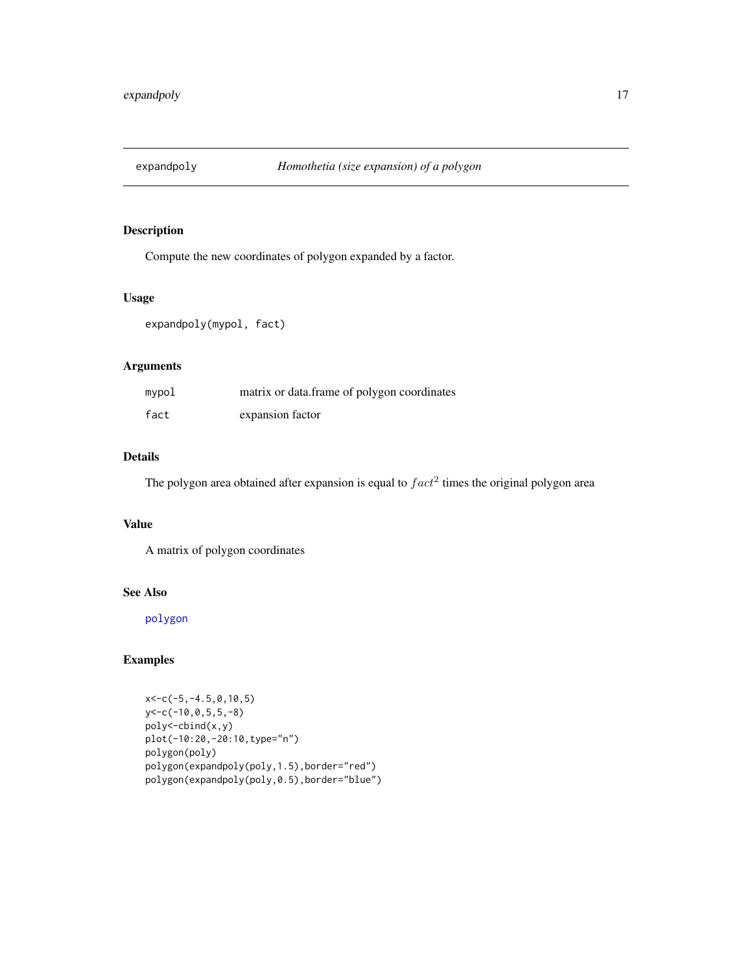<span id="page-16-0"></span>

Compute the new coordinates of polygon expanded by a factor.

# Usage

expandpoly(mypol, fact)

# Arguments

| mypol | matrix or data.frame of polygon coordinates |
|-------|---------------------------------------------|
| fact  | expansion factor                            |

# Details

The polygon area obtained after expansion is equal to  $fact<sup>2</sup>$  times the original polygon area

# Value

A matrix of polygon coordinates

## See Also

[polygon](#page-0-0)

```
x<-c(-5,-4.5,0,10,5)
y<-c(-10,0,5,5,-8)
poly<-cbind(x,y)
plot(-10:20,-20:10,type="n")
polygon(poly)
polygon(expandpoly(poly,1.5),border="red")
polygon(expandpoly(poly,0.5),border="blue")
```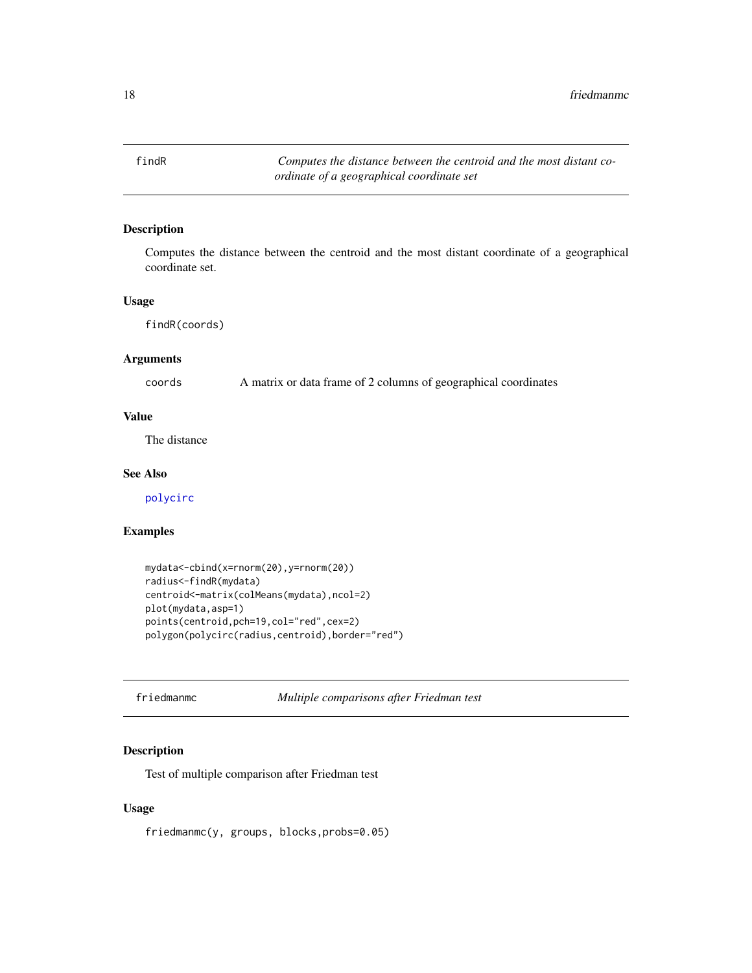<span id="page-17-1"></span><span id="page-17-0"></span>findR *Computes the distance between the centroid and the most distant coordinate of a geographical coordinate set*

# Description

Computes the distance between the centroid and the most distant coordinate of a geographical coordinate set.

## Usage

findR(coords)

# Arguments

coords A matrix or data frame of 2 columns of geographical coordinates

# Value

The distance

# See Also

[polycirc](#page-30-1)

## Examples

```
mydata<-cbind(x=rnorm(20),y=rnorm(20))
radius<-findR(mydata)
centroid<-matrix(colMeans(mydata),ncol=2)
plot(mydata,asp=1)
points(centroid,pch=19,col="red",cex=2)
polygon(polycirc(radius,centroid),border="red")
```
<span id="page-17-2"></span>friedmanmc *Multiple comparisons after Friedman test*

# Description

Test of multiple comparison after Friedman test

# Usage

friedmanmc(y, groups, blocks,probs=0.05)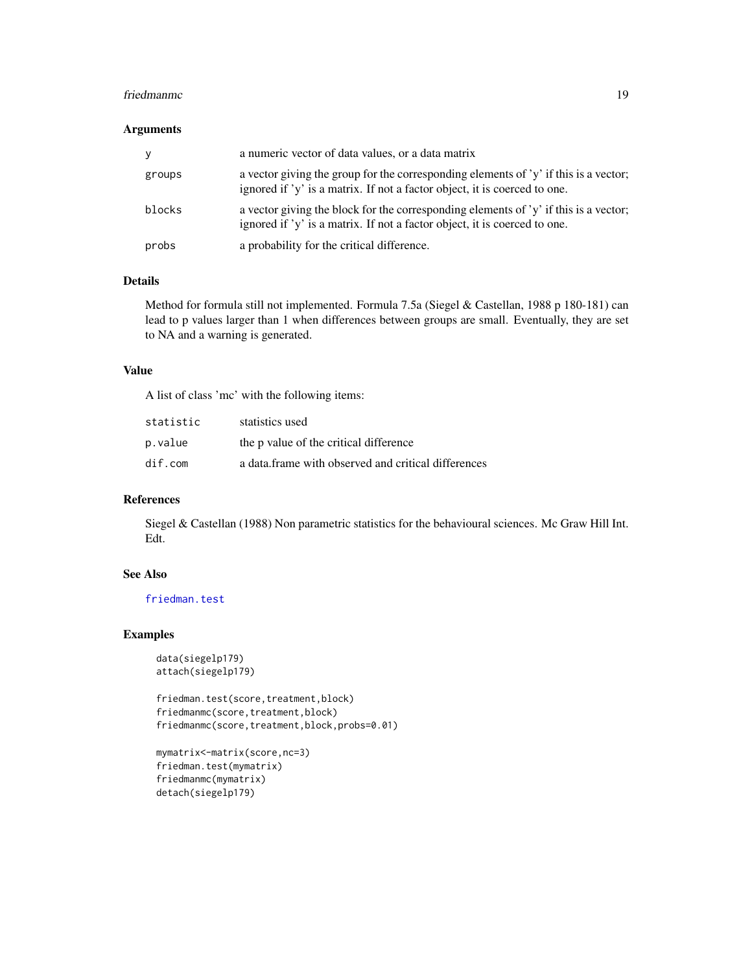#### <span id="page-18-0"></span>friedmanmc and the state of the state of the state of the state of the state of the state of the state of the state of the state of the state of the state of the state of the state of the state of the state of the state of

# Arguments

| y      | a numeric vector of data values, or a data matrix                                                                                                                  |
|--------|--------------------------------------------------------------------------------------------------------------------------------------------------------------------|
| groups | a vector giving the group for the corresponding elements of $y'$ if this is a vector;<br>ignored if 'y' is a matrix. If not a factor object, it is coerced to one. |
| blocks | a vector giving the block for the corresponding elements of 'y' if this is a vector;<br>ignored if 'y' is a matrix. If not a factor object, it is coerced to one.  |
| probs  | a probability for the critical difference.                                                                                                                         |

## Details

Method for formula still not implemented. Formula 7.5a (Siegel & Castellan, 1988 p 180-181) can lead to p values larger than 1 when differences between groups are small. Eventually, they are set to NA and a warning is generated.

# Value

A list of class 'mc' with the following items:

| statistic | statistics used                                     |
|-----------|-----------------------------------------------------|
| p.value   | the p value of the critical difference              |
| dir.com   | a data frame with observed and critical differences |

# References

Siegel & Castellan (1988) Non parametric statistics for the behavioural sciences. Mc Graw Hill Int. Edt.

# See Also

[friedman.test](#page-0-0)

```
data(siegelp179)
attach(siegelp179)
```

```
friedman.test(score,treatment,block)
friedmanmc(score,treatment,block)
friedmanmc(score,treatment,block,probs=0.01)
```

```
mymatrix<-matrix(score,nc=3)
friedman.test(mymatrix)
friedmanmc(mymatrix)
detach(siegelp179)
```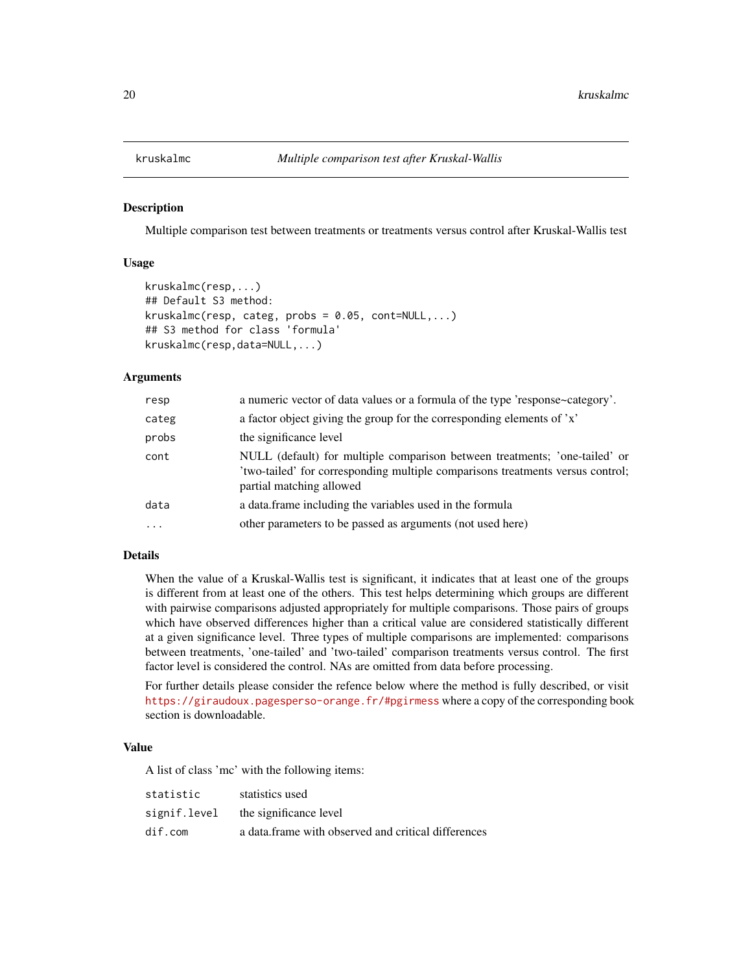<span id="page-19-1"></span><span id="page-19-0"></span>

Multiple comparison test between treatments or treatments versus control after Kruskal-Wallis test

## Usage

```
kruskalmc(resp,...)
## Default S3 method:
kruskalmc(resp, category, probs = 0.05, cont=NULL,...)## S3 method for class 'formula'
kruskalmc(resp,data=NULL,...)
```
#### **Arguments**

| resp      | a numeric vector of data values or a formula of the type 'response~category'.                                                                                                            |
|-----------|------------------------------------------------------------------------------------------------------------------------------------------------------------------------------------------|
| categ     | a factor object giving the group for the corresponding elements of 'x'                                                                                                                   |
| probs     | the significance level                                                                                                                                                                   |
| cont      | NULL (default) for multiple comparison between treatments; 'one-tailed' or<br>'two-tailed' for corresponding multiple comparisons treatments versus control;<br>partial matching allowed |
| data      | a data frame including the variables used in the formula                                                                                                                                 |
| $\ddotsc$ | other parameters to be passed as arguments (not used here)                                                                                                                               |
|           |                                                                                                                                                                                          |

# Details

When the value of a Kruskal-Wallis test is significant, it indicates that at least one of the groups is different from at least one of the others. This test helps determining which groups are different with pairwise comparisons adjusted appropriately for multiple comparisons. Those pairs of groups which have observed differences higher than a critical value are considered statistically different at a given significance level. Three types of multiple comparisons are implemented: comparisons between treatments, 'one-tailed' and 'two-tailed' comparison treatments versus control. The first factor level is considered the control. NAs are omitted from data before processing.

For further details please consider the refence below where the method is fully described, or visit <https://giraudoux.pagesperso-orange.fr/#pgirmess> where a copy of the corresponding book section is downloadable.

# Value

A list of class 'mc' with the following items:

| statistic    | statistics used                                     |
|--------------|-----------------------------------------------------|
| signif.level | the significance level                              |
| dir.com      | a data frame with observed and critical differences |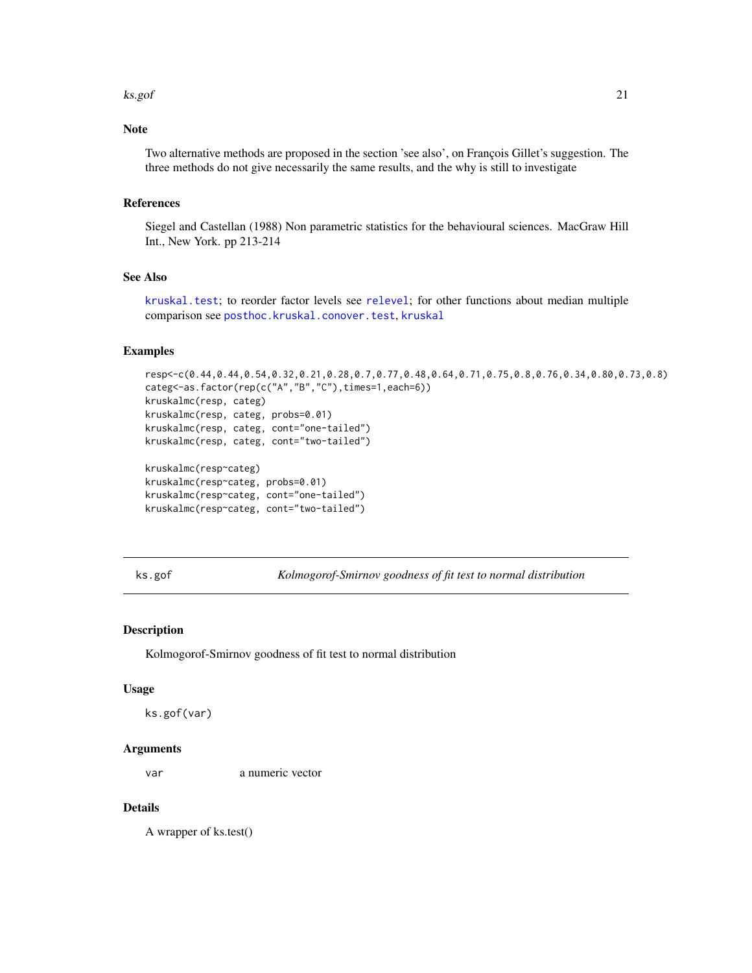#### <span id="page-20-0"></span>ks.gof 21

# Note

Two alternative methods are proposed in the section 'see also', on François Gillet's suggestion. The three methods do not give necessarily the same results, and the why is still to investigate

# References

Siegel and Castellan (1988) Non parametric statistics for the behavioural sciences. MacGraw Hill Int., New York. pp 213-214

# See Also

[kruskal.test](#page-0-0); to reorder factor levels see [relevel](#page-0-0); for other functions about median multiple comparison see [posthoc.kruskal.conover.test](#page-0-0), [kruskal](#page-0-0)

# Examples

```
resp<-c(0.44,0.44,0.54,0.32,0.21,0.28,0.7,0.77,0.48,0.64,0.71,0.75,0.8,0.76,0.34,0.80,0.73,0.8)
categ<-as.factor(rep(c("A","B","C"),times=1,each=6))
kruskalmc(resp, categ)
kruskalmc(resp, categ, probs=0.01)
kruskalmc(resp, categ, cont="one-tailed")
kruskalmc(resp, categ, cont="two-tailed")
kruskalmc(resp~categ)
```

```
kruskalmc(resp~categ, probs=0.01)
kruskalmc(resp~categ, cont="one-tailed")
kruskalmc(resp~categ, cont="two-tailed")
```
ks.gof *Kolmogorof-Smirnov goodness of fit test to normal distribution*

# Description

Kolmogorof-Smirnov goodness of fit test to normal distribution

#### Usage

ks.gof(var)

## Arguments

var a numeric vector

## Details

A wrapper of ks.test()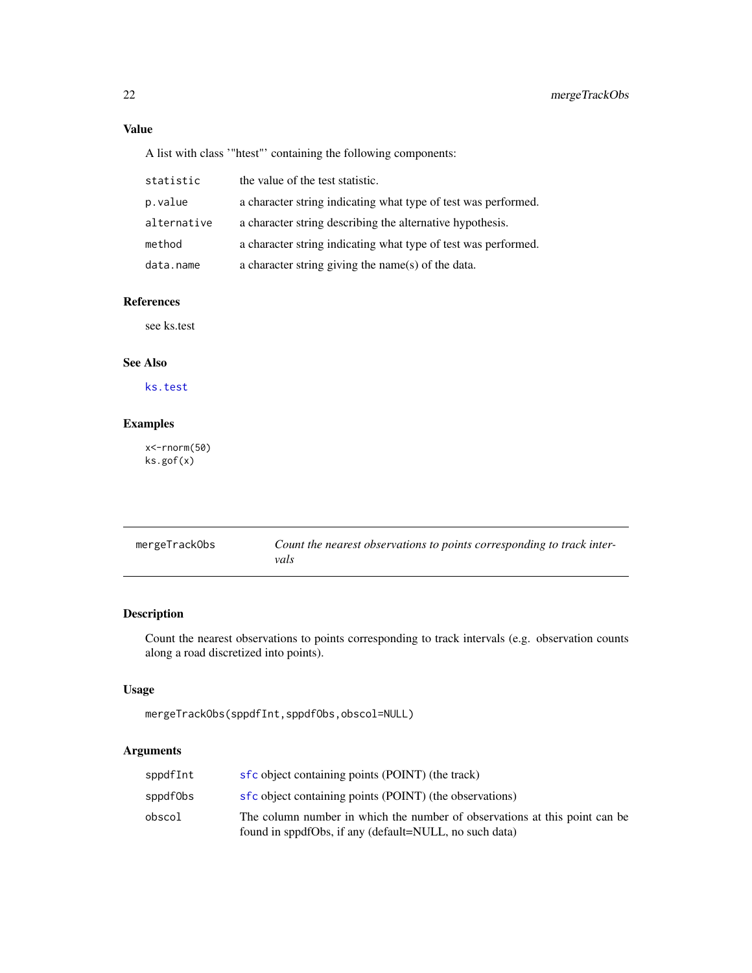# <span id="page-21-0"></span>Value

A list with class '"htest"' containing the following components:

| statistic   | the value of the test statistic.                               |
|-------------|----------------------------------------------------------------|
| p.value     | a character string indicating what type of test was performed. |
| alternative | a character string describing the alternative hypothesis.      |
| method      | a character string indicating what type of test was performed. |
| data.name   | a character string giving the name(s) of the data.             |

# References

see ks.test

# See Also

[ks.test](#page-0-0)

# Examples

x<-rnorm(50) ks.gof(x)

<span id="page-21-1"></span>

| mergeTrackObs | Count the nearest observations to points corresponding to track inter- |
|---------------|------------------------------------------------------------------------|
|               | vals                                                                   |

# Description

Count the nearest observations to points corresponding to track intervals (e.g. observation counts along a road discretized into points).

# Usage

```
mergeTrackObs(sppdfInt,sppdfObs,obscol=NULL)
```
# Arguments

| sppdfInt | sfc object containing points (POINT) (the track)                                                                                     |
|----------|--------------------------------------------------------------------------------------------------------------------------------------|
| sppdf0bs | sfc object containing points (POINT) (the observations)                                                                              |
| obscol   | The column number in which the number of observations at this point can be<br>found in sppdfObs, if any (default=NULL, no such data) |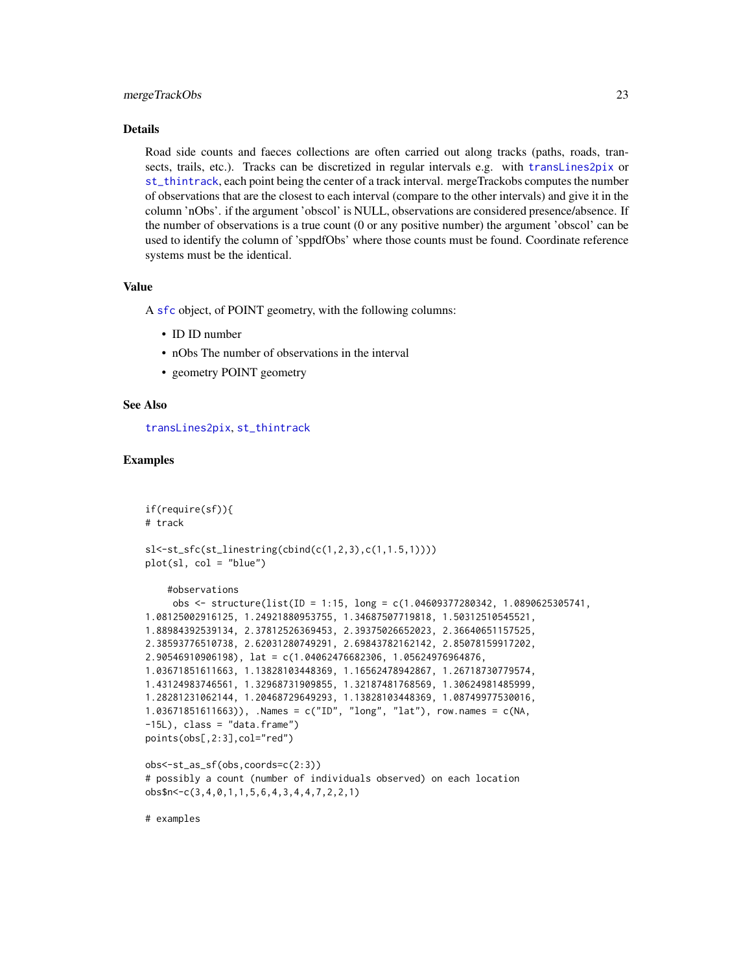#### <span id="page-22-0"></span>mergeTrackObs 23

## Details

Road side counts and faeces collections are often carried out along tracks (paths, roads, transects, trails, etc.). Tracks can be discretized in regular intervals e.g. with [transLines2pix](#page-43-1) or [st\\_thintrack](#page-39-1), each point being the center of a track interval. mergeTrackobs computes the number of observations that are the closest to each interval (compare to the other intervals) and give it in the column 'nObs'. if the argument 'obscol' is NULL, observations are considered presence/absence. If the number of observations is a true count (0 or any positive number) the argument 'obscol' can be used to identify the column of 'sppdfObs' where those counts must be found. Coordinate reference systems must be the identical.

## Value

A [sfc](#page-0-0) object, of POINT geometry, with the following columns:

- ID ID number
- nObs The number of observations in the interval
- geometry POINT geometry

## See Also

[transLines2pix](#page-43-1), [st\\_thintrack](#page-39-1)

## Examples

```
if(require(sf)){
# track
sl<-st_sfc(st_linestring(cbind(c(1,2,3),c(1,1.5,1))))
plot(sl, col = "blue")
    #observations
     obs <- structure(list(ID = 1:15, long = c(1.04609377280342, 1.0890625305741,
1.08125002916125, 1.24921880953755, 1.34687507719818, 1.50312510545521,
1.88984392539134, 2.37812526369453, 2.39375026652023, 2.36640651157525,
2.38593776510738, 2.62031280749291, 2.69843782162142, 2.85078159917202,
2.90546910906198), lat = c(1.04062476682306, 1.05624976964876,
1.03671851611663, 1.13828103448369, 1.16562478942867, 1.26718730779574,
1.43124983746561, 1.32968731909855, 1.32187481768569, 1.30624981485999,
1.28281231062144, 1.20468729649293, 1.13828103448369, 1.08749977530016,
1.03671851611663)), .Names = c("ID", "long", "lat"), row.names = c(NA,
-15L), class = "data.frame")
points(obs[,2:3],col="red")
obs<-st_as_sf(obs,coords=c(2:3))
# possibly a count (number of individuals observed) on each location
obs$n<-c(3,4,0,1,1,5,6,4,3,4,4,7,2,2,1)
```
# examples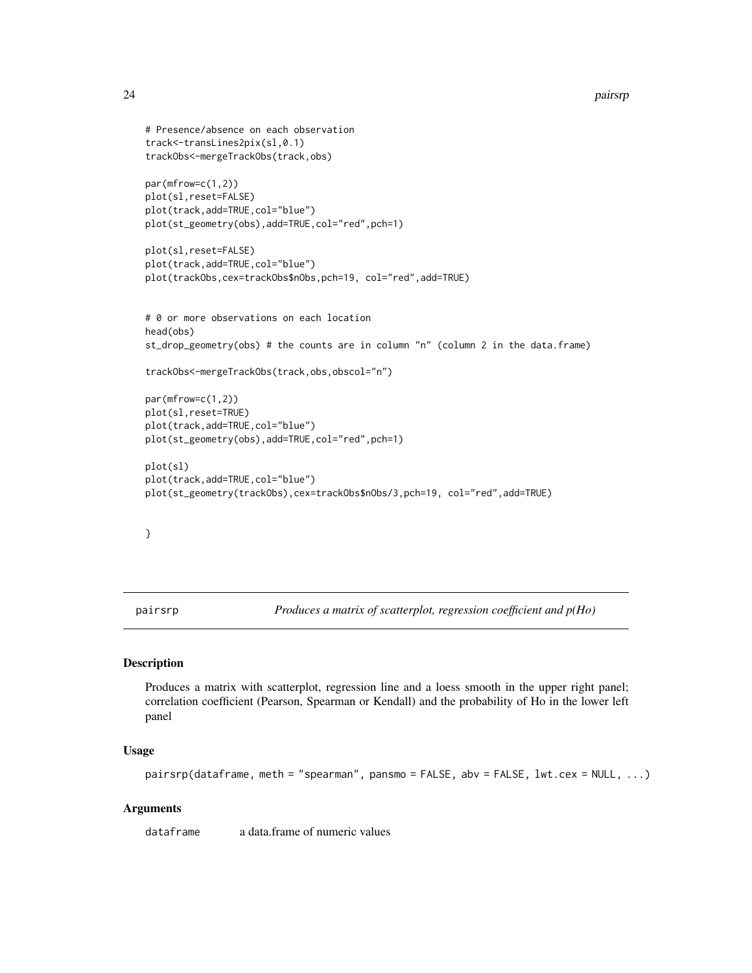```
# Presence/absence on each observation
track<-transLines2pix(sl,0.1)
trackObs<-mergeTrackObs(track,obs)
par(mfrow=c(1,2))
plot(sl,reset=FALSE)
plot(track,add=TRUE,col="blue")
plot(st_geometry(obs),add=TRUE,col="red",pch=1)
plot(sl,reset=FALSE)
plot(track,add=TRUE,col="blue")
plot(trackObs,cex=trackObs$nObs,pch=19, col="red",add=TRUE)
# 0 or more observations on each location
head(obs)
st_drop_geometry(obs) # the counts are in column "n" (column 2 in the data.frame)
trackObs<-mergeTrackObs(track,obs,obscol="n")
par(mfrow=c(1,2))
plot(sl,reset=TRUE)
plot(track,add=TRUE,col="blue")
plot(st_geometry(obs),add=TRUE,col="red",pch=1)
plot(sl)
plot(track,add=TRUE,col="blue")
plot(st_geometry(trackObs),cex=trackObs$nObs/3,pch=19, col="red",add=TRUE)
```

```
}
```
pairsrp *Produces a matrix of scatterplot, regression coefficient and p(Ho)*

# Description

Produces a matrix with scatterplot, regression line and a loess smooth in the upper right panel; correlation coefficient (Pearson, Spearman or Kendall) and the probability of Ho in the lower left panel

# Usage

```
pairsrp(dataframe, meth = "spearman", pansmo = FALSE, abv = FALSE, lwt.cex = NULL, ...)
```
## Arguments

dataframe a data.frame of numeric values

<span id="page-23-0"></span>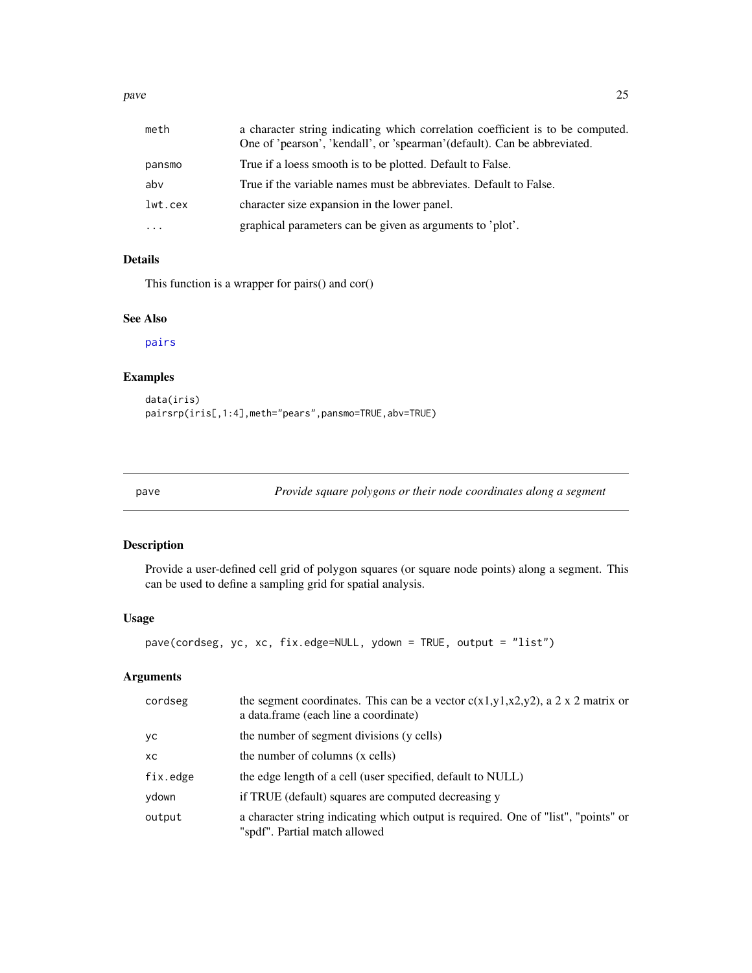<span id="page-24-0"></span>pave 25

| meth     | a character string indicating which correlation coefficient is to be computed.<br>One of 'pearson', 'kendall', or 'spearman' (default). Can be abbreviated. |
|----------|-------------------------------------------------------------------------------------------------------------------------------------------------------------|
| pansmo   | True if a loess smooth is to be plotted. Default to False.                                                                                                  |
| abv      | True if the variable names must be abbreviates. Default to False.                                                                                           |
| lwt.cex  | character size expansion in the lower panel.                                                                                                                |
| $\cdots$ | graphical parameters can be given as arguments to 'plot'.                                                                                                   |

# Details

This function is a wrapper for pairs() and cor()

# See Also

[pairs](#page-0-0)

# Examples

data(iris) pairsrp(iris[,1:4],meth="pears",pansmo=TRUE,abv=TRUE)

<span id="page-24-1"></span>pave *Provide square polygons or their node coordinates along a segment*

# Description

Provide a user-defined cell grid of polygon squares (or square node points) along a segment. This can be used to define a sampling grid for spatial analysis.

## Usage

```
pave(cordseg, yc, xc, fix.edge=NULL, ydown = TRUE, output = "list")
```
# Arguments

| cordseg  | the segment coordinates. This can be a vector $c(x1,y1,x2,y2)$ , a 2 x 2 matrix or<br>a data.frame (each line a coordinate) |
|----------|-----------------------------------------------------------------------------------------------------------------------------|
| yс       | the number of segment divisions (y cells)                                                                                   |
| ХC       | the number of columns (x cells)                                                                                             |
| fix.edge | the edge length of a cell (user specified, default to NULL)                                                                 |
| ydown    | if TRUE (default) squares are computed decreasing y                                                                         |
| output   | a character string indicating which output is required. One of "list", "points" or<br>"spdf". Partial match allowed         |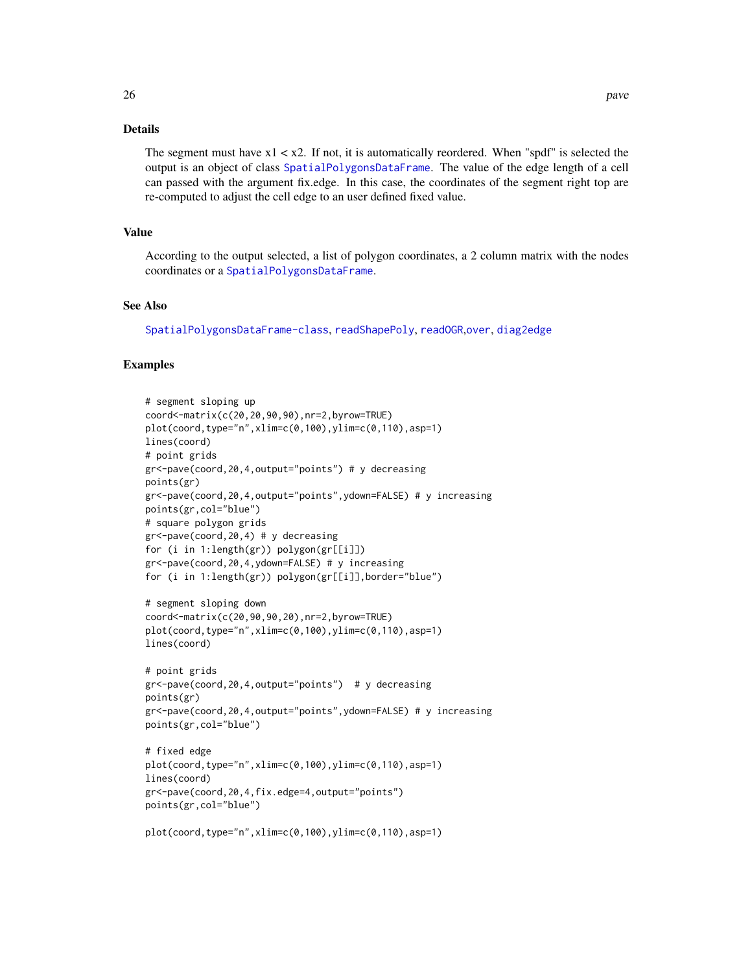# <span id="page-25-0"></span>Details

The segment must have  $x1 < x2$ . If not, it is automatically reordered. When "spdf" is selected the output is an object of class [SpatialPolygonsDataFrame](#page-0-0). The value of the edge length of a cell can passed with the argument fix.edge. In this case, the coordinates of the segment right top are re-computed to adjust the cell edge to an user defined fixed value.

# Value

According to the output selected, a list of polygon coordinates, a 2 column matrix with the nodes coordinates or a [SpatialPolygonsDataFrame](#page-0-0).

## See Also

[SpatialPolygonsDataFrame-class](#page-0-0), [readShapePoly](#page-0-0), [readOGR](#page-0-0),[over](#page-0-0), [diag2edge](#page-8-1)

```
# segment sloping up
coord<-matrix(c(20,20,90,90),nr=2,byrow=TRUE)
plot(coord,type="n",xlim=c(0,100),ylim=c(0,110),asp=1)
lines(coord)
# point grids
gr<-pave(coord,20,4,output="points") # y decreasing
points(gr)
gr<-pave(coord,20,4,output="points",ydown=FALSE) # y increasing
points(gr,col="blue")
# square polygon grids
gr<-pave(coord,20,4) # y decreasing
for (i in 1:length(gr)) polygon(gr[[i]])
gr<-pave(coord,20,4,ydown=FALSE) # y increasing
for (i in 1:length(gr)) polygon(gr[[i]],border="blue")
# segment sloping down
coord<-matrix(c(20,90,90,20),nr=2,byrow=TRUE)
plot(coord,type="n",xlim=c(0,100),ylim=c(0,110),asp=1)
lines(coord)
# point grids
gr<-pave(coord,20,4,output="points") # y decreasing
points(gr)
gr<-pave(coord,20,4,output="points",ydown=FALSE) # y increasing
points(gr,col="blue")
# fixed edge
plot(coord,type="n",xlim=c(0,100),ylim=c(0,110),asp=1)
lines(coord)
gr<-pave(coord,20,4,fix.edge=4,output="points")
points(gr,col="blue")
plot(coord,type="n",xlim=c(0,100),ylim=c(0,110),asp=1)
```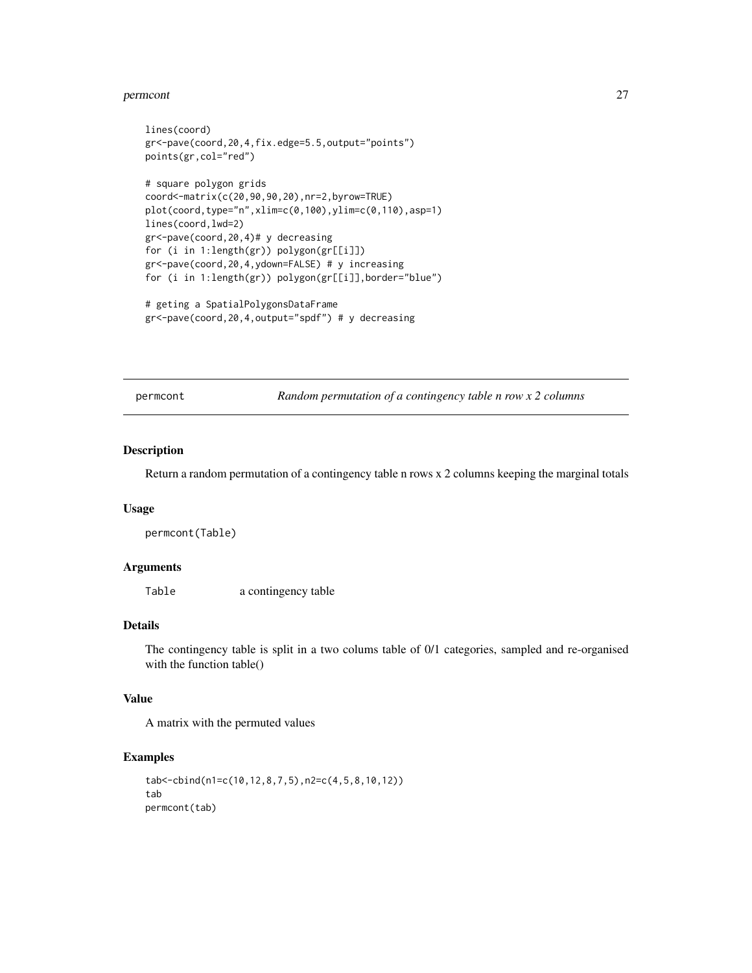#### <span id="page-26-0"></span>permcont 27

```
lines(coord)
gr<-pave(coord,20,4,fix.edge=5.5,output="points")
points(gr,col="red")
# square polygon grids
coord<-matrix(c(20,90,90,20),nr=2,byrow=TRUE)
plot(coord,type="n",xlim=c(0,100),ylim=c(0,110),asp=1)
lines(coord,lwd=2)
gr<-pave(coord,20,4)# y decreasing
for (i in 1:length(gr)) polygon(gr[[i]])
gr<-pave(coord,20,4,ydown=FALSE) # y increasing
for (i in 1:length(gr)) polygon(gr[[i]],border="blue")
# geting a SpatialPolygonsDataFrame
```

```
gr<-pave(coord,20,4,output="spdf") # y decreasing
```
permcont *Random permutation of a contingency table n row x 2 columns*

## Description

Return a random permutation of a contingency table n rows x 2 columns keeping the marginal totals

#### Usage

permcont(Table)

# Arguments

Table a contingency table

## Details

The contingency table is split in a two colums table of 0/1 categories, sampled and re-organised with the function table()

## Value

A matrix with the permuted values

```
tab<-cbind(n1=c(10,12,8,7,5),n2=c(4,5,8,10,12))
tab
permcont(tab)
```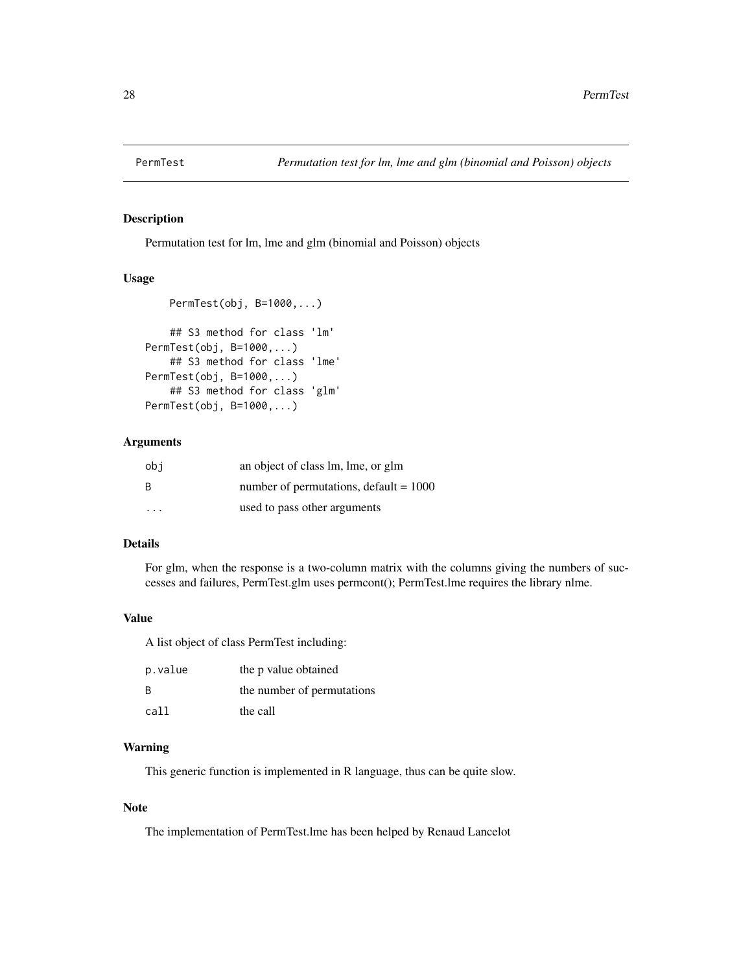<span id="page-27-0"></span>

Permutation test for lm, lme and glm (binomial and Poisson) objects

## Usage

```
PermTest(obj, B=1000,...)
    ## S3 method for class 'lm'
PermTest(obj, B=1000,...)
    ## S3 method for class 'lme'
PermTest(obj, B=1000,...)
    ## S3 method for class 'glm'
```
PermTest(obj, B=1000,...)

# Arguments

| obi | an object of class lm, lme, or glm       |
|-----|------------------------------------------|
| -B  | number of permutations, $default = 1000$ |
| .   | used to pass other arguments             |

# Details

For glm, when the response is a two-column matrix with the columns giving the numbers of successes and failures, PermTest.glm uses permcont(); PermTest.lme requires the library nlme.

#### Value

A list object of class PermTest including:

| p.value | the p value obtained       |
|---------|----------------------------|
| B       | the number of permutations |
| call    | the call                   |

## Warning

This generic function is implemented in R language, thus can be quite slow.

## Note

The implementation of PermTest.lme has been helped by Renaud Lancelot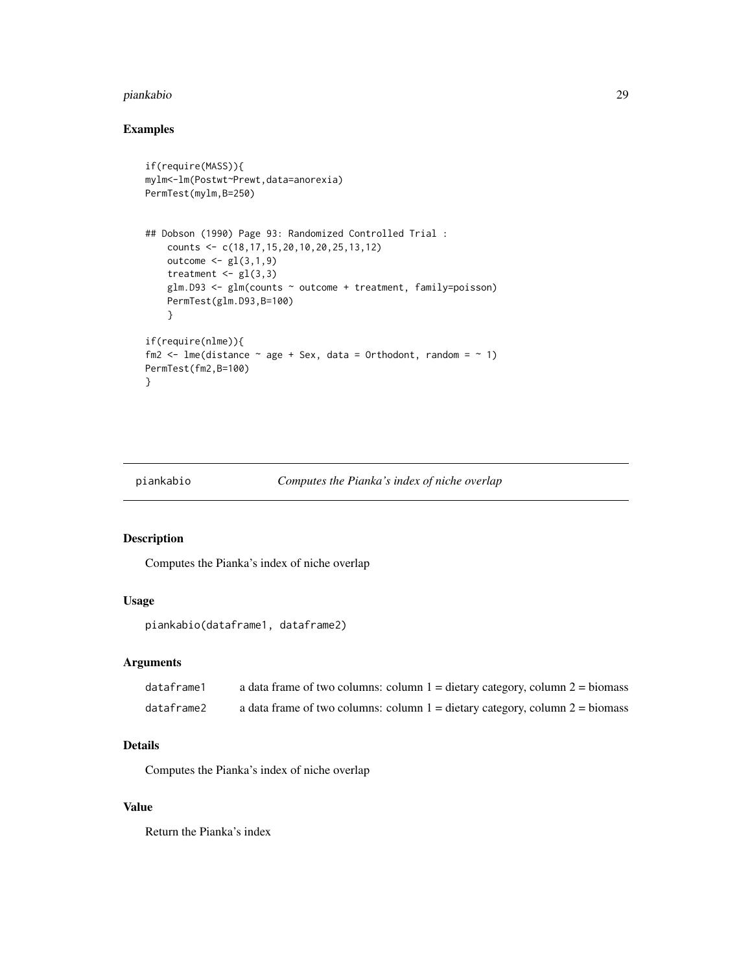#### <span id="page-28-0"></span>piankabio 29

# Examples

```
if(require(MASS)){
mylm<-lm(Postwt~Prewt,data=anorexia)
PermTest(mylm,B=250)
## Dobson (1990) Page 93: Randomized Controlled Trial :
   counts <- c(18,17,15,20,10,20,25,13,12)
   outcome <- gl(3,1,9)
   treatment \leq gl(3,3)
   glm.D93 <- glm(counts ~ outcome + treatment, family=poisson)
   PermTest(glm.D93,B=100)
   }
if(require(nlme)){
fm2 <- lme(distance \sim age + Sex, data = Orthodont, random = \sim 1)
PermTest(fm2,B=100)
}
```
<span id="page-28-1"></span>

```
piankabio Computes the Pianka's index of niche overlap
```
# Description

Computes the Pianka's index of niche overlap

# Usage

```
piankabio(dataframe1, dataframe2)
```
# Arguments

| dataframe1 | a data frame of two columns: column $1 =$ dietary category, column $2 =$ biomass |
|------------|----------------------------------------------------------------------------------|
| dataframe2 | a data frame of two columns: column $1 =$ dietary category, column $2 =$ biomass |

# Details

Computes the Pianka's index of niche overlap

#### Value

Return the Pianka's index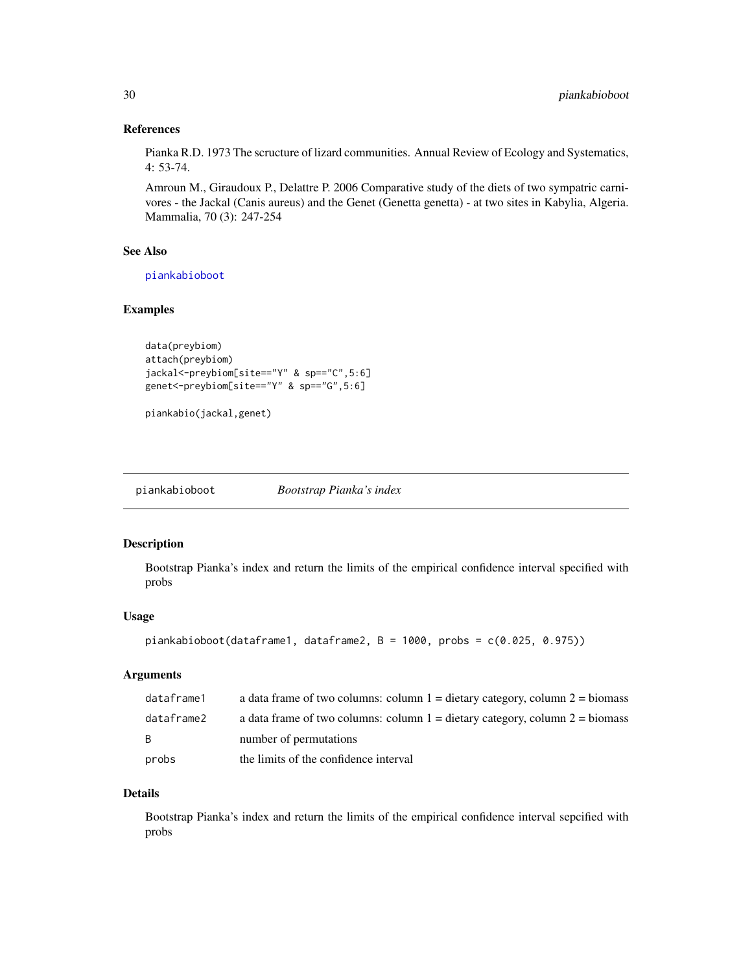## <span id="page-29-0"></span>References

Pianka R.D. 1973 The scructure of lizard communities. Annual Review of Ecology and Systematics, 4: 53-74.

Amroun M., Giraudoux P., Delattre P. 2006 Comparative study of the diets of two sympatric carnivores - the Jackal (Canis aureus) and the Genet (Genetta genetta) - at two sites in Kabylia, Algeria. Mammalia, 70 (3): 247-254

# See Also

[piankabioboot](#page-29-1)

## Examples

```
data(preybiom)
attach(preybiom)
jackal<-preybiom[site=="Y" & sp=="C",5:6]
genet<-preybiom[site=="Y" & sp=="G",5:6]
```

```
piankabio(jackal,genet)
```
<span id="page-29-1"></span>

| piankabioboot | Bootstrap Pianka's index |
|---------------|--------------------------|
|               |                          |

## Description

Bootstrap Pianka's index and return the limits of the empirical confidence interval specified with probs

#### Usage

```
piankabioboot(dataframe1, dataframe2, B = 1000, probs = c(0.025, 0.975))
```
# Arguments

| dataframe1 | a data frame of two columns: column $1 =$ dietary category, column $2 =$ biomass |
|------------|----------------------------------------------------------------------------------|
| dataframe2 | a data frame of two columns: column $1 =$ dietary category, column $2 =$ biomass |
| - B        | number of permutations                                                           |
| probs      | the limits of the confidence interval                                            |

#### Details

Bootstrap Pianka's index and return the limits of the empirical confidence interval sepcified with probs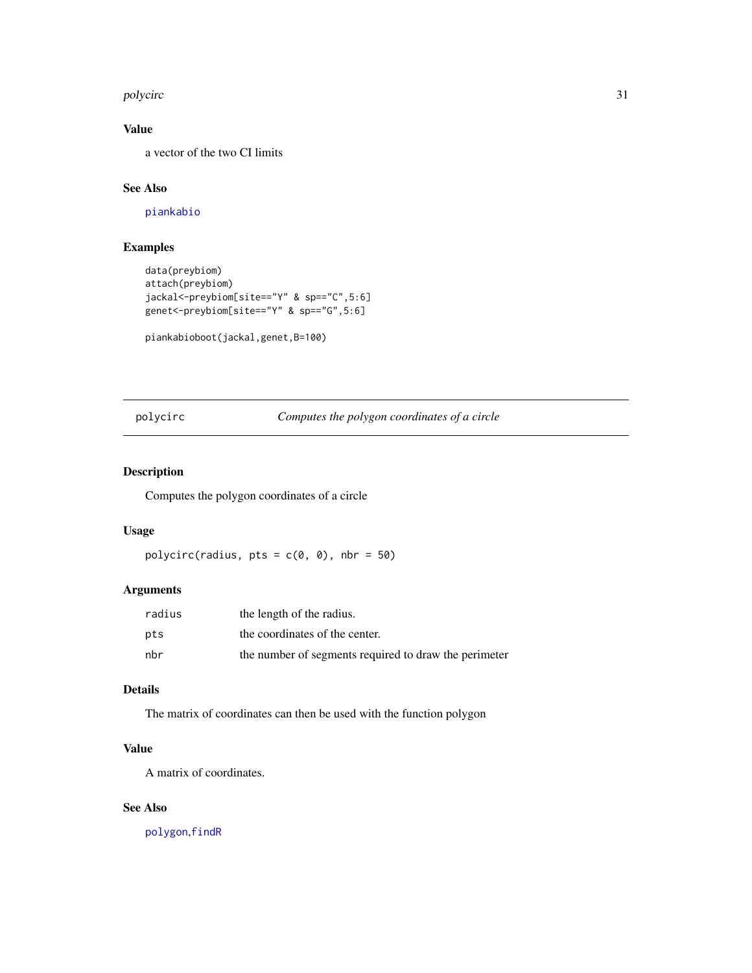#### <span id="page-30-0"></span>polycirc 31

# Value

a vector of the two CI limits

# See Also

[piankabio](#page-28-1)

# Examples

```
data(preybiom)
attach(preybiom)
jackal<-preybiom[site=="Y" & sp=="C",5:6]
genet<-preybiom[site=="Y" & sp=="G",5:6]
```

```
piankabioboot(jackal,genet,B=100)
```
<span id="page-30-1"></span>polycirc *Computes the polygon coordinates of a circle*

# **Description**

Computes the polygon coordinates of a circle

# Usage

```
polycirc(radius, pts = c(\emptyset, \emptyset), nbr = 50)
```
# Arguments

| radius | the length of the radius.                             |
|--------|-------------------------------------------------------|
| pts    | the coordinates of the center.                        |
| nbr    | the number of segments required to draw the perimeter |

# Details

The matrix of coordinates can then be used with the function polygon

# Value

A matrix of coordinates.

# See Also

[polygon](#page-0-0),[findR](#page-17-1)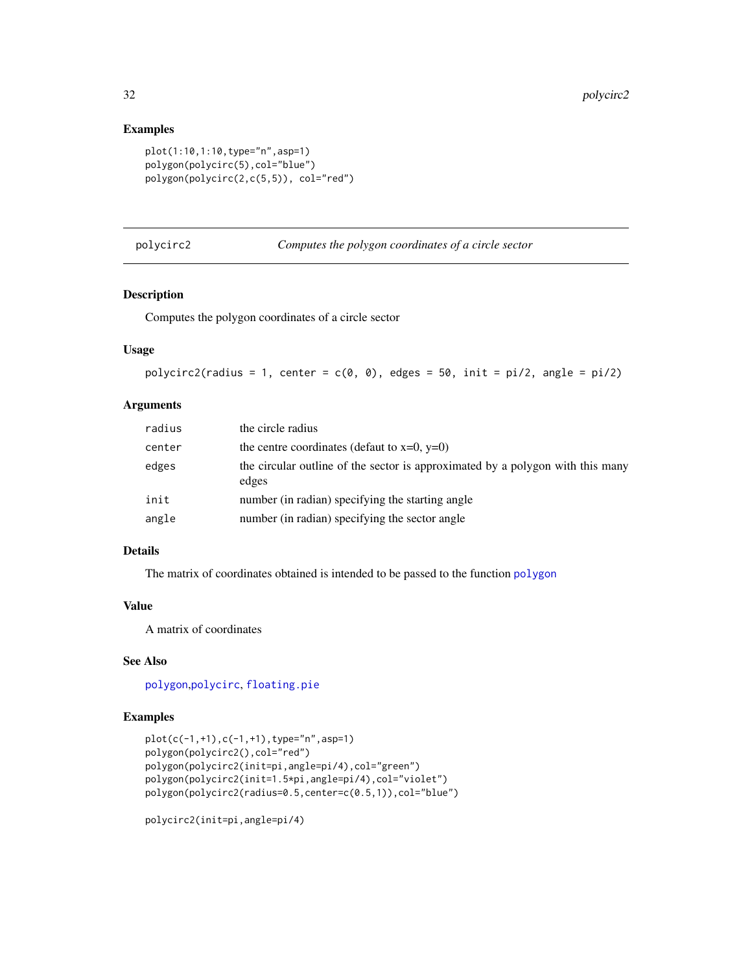## Examples

```
plot(1:10,1:10,type="n",asp=1)
polygon(polycirc(5),col="blue")
polygon(polycirc(2,c(5,5)), col="red")
```
polycirc2 *Computes the polygon coordinates of a circle sector*

# Description

Computes the polygon coordinates of a circle sector

# Usage

```
polycirc2(radius = 1, center = c(0, 0), edges = 50, init = pi/2, angle = pi/2)
```
# Arguments

| radius | the circle radius                                                                       |
|--------|-----------------------------------------------------------------------------------------|
| center | the centre coordinates (defaut to $x=0$ , $y=0$ )                                       |
| edges  | the circular outline of the sector is approximated by a polygon with this many<br>edges |
| init   | number (in radian) specifying the starting angle                                        |
| angle  | number (in radian) specifying the sector angle                                          |

# Details

The matrix of coordinates obtained is intended to be passed to the function [polygon](#page-0-0)

## Value

A matrix of coordinates

# See Also

[polygon](#page-0-0),[polycirc](#page-30-1), [floating.pie](#page-0-0)

# Examples

```
plot(c(-1,+1),c(-1,+1),type="n",asp=1)
polygon(polycirc2(),col="red")
polygon(polycirc2(init=pi,angle=pi/4),col="green")
polygon(polycirc2(init=1.5*pi,angle=pi/4),col="violet")
polygon(polycirc2(radius=0.5,center=c(0.5,1)),col="blue")
```
polycirc2(init=pi,angle=pi/4)

<span id="page-31-0"></span>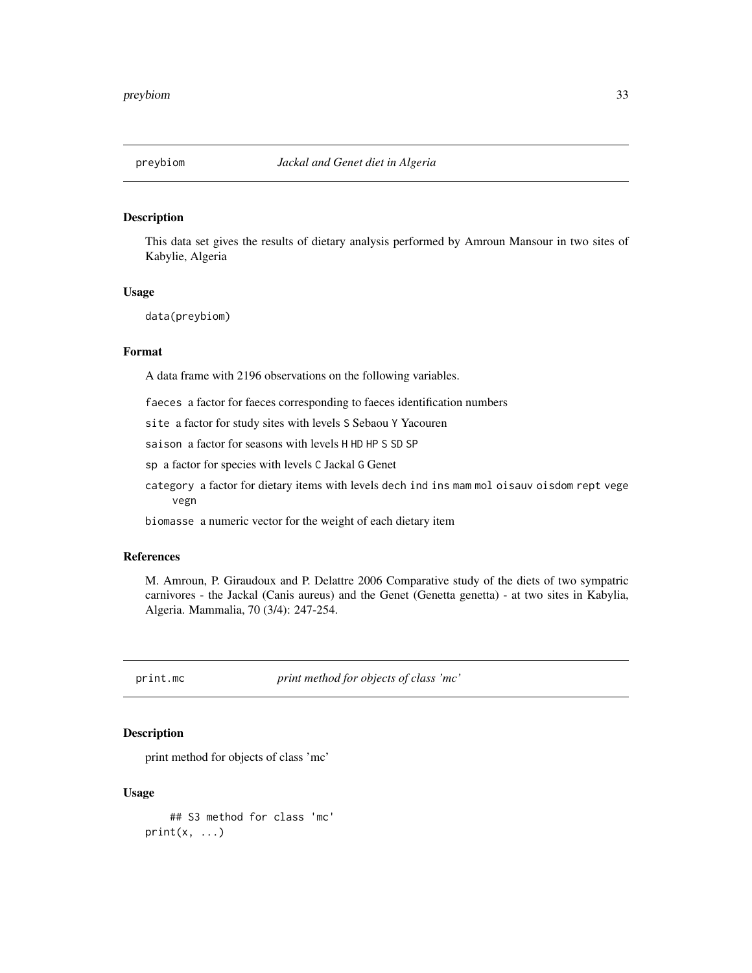<span id="page-32-0"></span>

This data set gives the results of dietary analysis performed by Amroun Mansour in two sites of Kabylie, Algeria

## Usage

data(preybiom)

# Format

A data frame with 2196 observations on the following variables.

faeces a factor for faeces corresponding to faeces identification numbers

site a factor for study sites with levels S Sebaou Y Yacouren

saison a factor for seasons with levels H HD HP S SD SP

sp a factor for species with levels C Jackal G Genet

category a factor for dietary items with levels dech ind ins mam mol oisauv oisdom rept vege vegn

biomasse a numeric vector for the weight of each dietary item

# References

M. Amroun, P. Giraudoux and P. Delattre 2006 Comparative study of the diets of two sympatric carnivores - the Jackal (Canis aureus) and the Genet (Genetta genetta) - at two sites in Kabylia, Algeria. Mammalia, 70 (3/4): 247-254.

print.mc *print method for objects of class 'mc'*

## Description

print method for objects of class 'mc'

## Usage

```
## S3 method for class 'mc'
print(x, \ldots)
```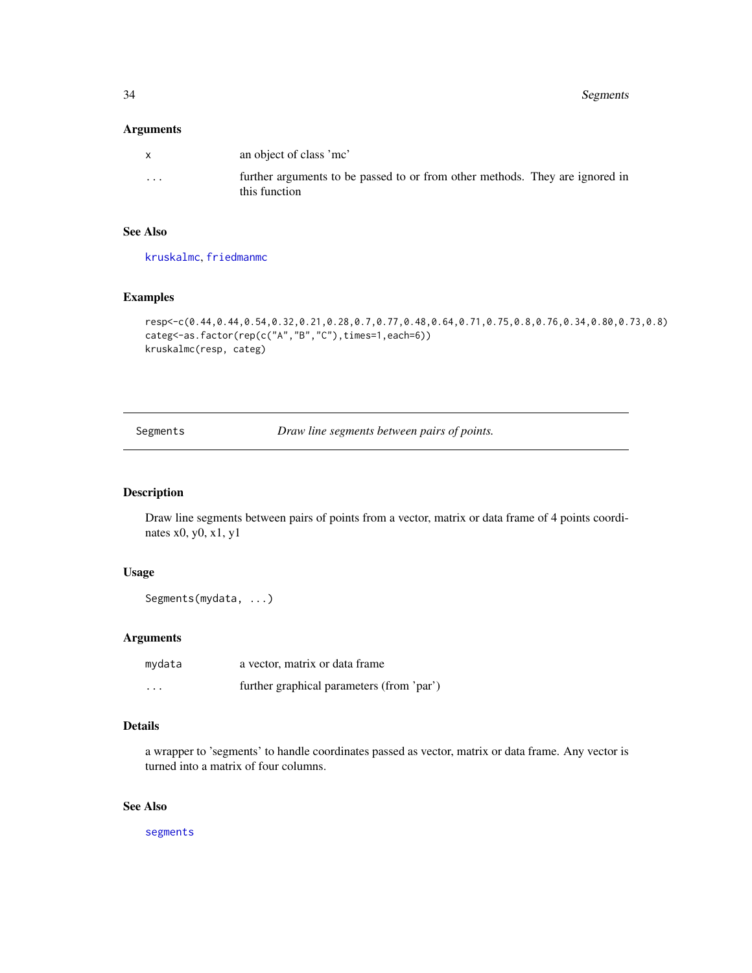<span id="page-33-0"></span>34 Segments

# Arguments

| $\mathsf{x}$ | an object of class 'me'                                                                       |
|--------------|-----------------------------------------------------------------------------------------------|
| .            | further arguments to be passed to or from other methods. They are ignored in<br>this function |

# See Also

[kruskalmc](#page-19-1), [friedmanmc](#page-17-2)

# Examples

```
resp<-c(0.44,0.44,0.54,0.32,0.21,0.28,0.7,0.77,0.48,0.64,0.71,0.75,0.8,0.76,0.34,0.80,0.73,0.8)
categ<-as.factor(rep(c("A","B","C"),times=1,each=6))
kruskalmc(resp, categ)
```
Segments *Draw line segments between pairs of points.*

# Description

Draw line segments between pairs of points from a vector, matrix or data frame of 4 points coordinates x0, y0, x1, y1

## Usage

```
Segments(mydata, ...)
```
# Arguments

| mydata   | a vector, matrix or data frame            |
|----------|-------------------------------------------|
| $\cdots$ | further graphical parameters (from 'par') |

# Details

a wrapper to 'segments' to handle coordinates passed as vector, matrix or data frame. Any vector is turned into a matrix of four columns.

# See Also

[segments](#page-0-0)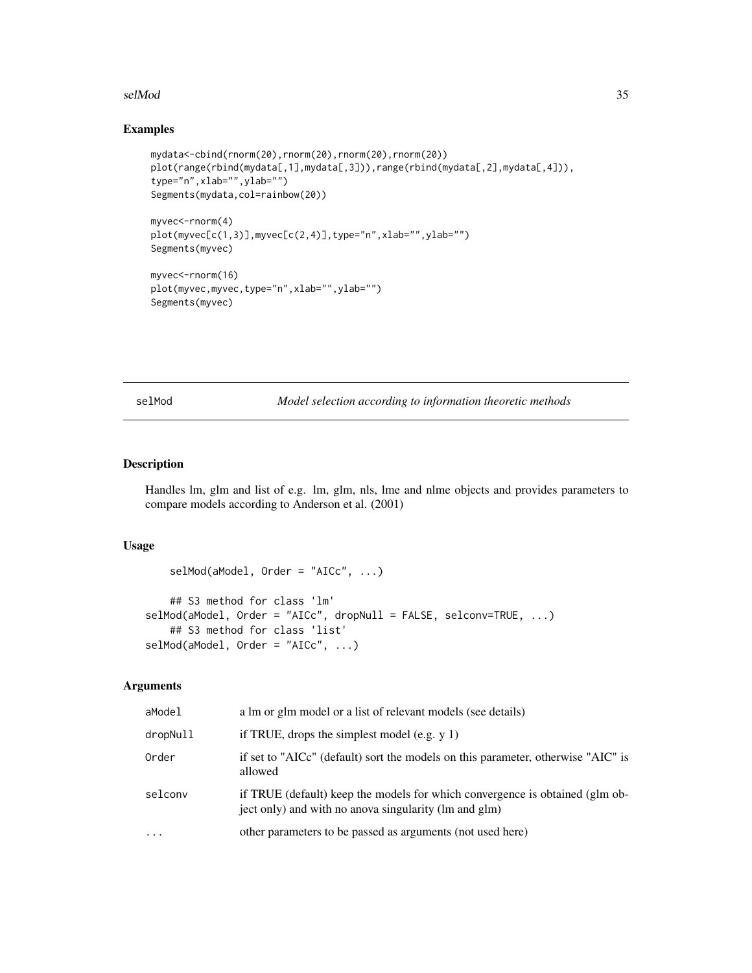## <span id="page-34-0"></span>selMod 35

# Examples

```
mydata<-cbind(rnorm(20),rnorm(20),rnorm(20),rnorm(20))
plot(range(rbind(mydata[,1],mydata[,3])),range(rbind(mydata[,2],mydata[,4])),
type="n",xlab="",ylab="")
Segments(mydata,col=rainbow(20))
myvec<-rnorm(4)
plot(myvec[c(1,3)],myvec[c(2,4)],type="n",xlab="",ylab="")
Segments(myvec)
myvec<-rnorm(16)
plot(myvec,myvec,type="n",xlab="",ylab="")
Segments(myvec)
```
selMod *Model selection according to information theoretic methods* 

# Description

Handles lm, glm and list of e.g. lm, glm, nls, lme and nlme objects and provides parameters to compare models according to Anderson et al. (2001)

## Usage

```
selfMod(aModel, Order = "AICc", ...)## S3 method for class 'lm'
selMod(aModel, Order = "AICc", dropNull = FALSE, selconv=TRUE, ...)
   ## S3 method for class 'list'
selMod(aModel, Order = "AICC", ...)
```
## Arguments

| aModel   | a lm or glm model or a list of relevant models (see details)                                                                          |
|----------|---------------------------------------------------------------------------------------------------------------------------------------|
| dropNull | if TRUE, drops the simplest model (e.g. $y$ 1)                                                                                        |
| Order    | if set to "AICc" (default) sort the models on this parameter, otherwise "AIC" is<br>allowed                                           |
| selconv  | if TRUE (default) keep the models for which convergence is obtained (glm ob-<br>ject only) and with no anova singularity (lm and glm) |
| $\cdots$ | other parameters to be passed as arguments (not used here)                                                                            |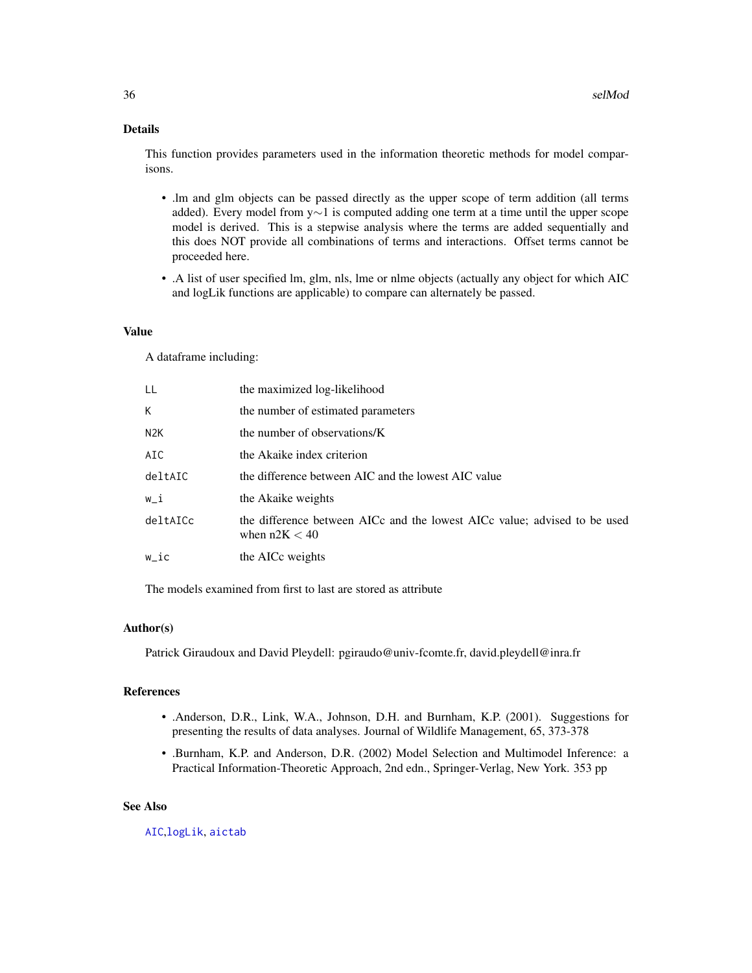# <span id="page-35-0"></span>Details

This function provides parameters used in the information theoretic methods for model comparisons.

- .lm and glm objects can be passed directly as the upper scope of term addition (all terms added). Every model from y∼1 is computed adding one term at a time until the upper scope model is derived. This is a stepwise analysis where the terms are added sequentially and this does NOT provide all combinations of terms and interactions. Offset terms cannot be proceeded here.
- .A list of user specified lm, glm, nls, lme or nlme objects (actually any object for which AIC and logLik functions are applicable) to compare can alternately be passed.

# Value

A dataframe including:

| LL               | the maximized log-likelihood                                                                 |
|------------------|----------------------------------------------------------------------------------------------|
| K.               | the number of estimated parameters                                                           |
| N <sub>2</sub> K | the number of observations/K                                                                 |
| AIC              | the Akaike index criterion                                                                   |
| deltAIC          | the difference between AIC and the lowest AIC value                                          |
| w_i              | the Akaike weights                                                                           |
| deltAICc         | the difference between AICc and the lowest AICc value; advised to be used<br>when $n2K < 40$ |
| w_ic             | the AICc weights                                                                             |
|                  |                                                                                              |

The models examined from first to last are stored as attribute

## Author(s)

Patrick Giraudoux and David Pleydell: pgiraudo@univ-fcomte.fr, david.pleydell@inra.fr

# References

- .Anderson, D.R., Link, W.A., Johnson, D.H. and Burnham, K.P. (2001). Suggestions for presenting the results of data analyses. Journal of Wildlife Management, 65, 373-378
- .Burnham, K.P. and Anderson, D.R. (2002) Model Selection and Multimodel Inference: a Practical Information-Theoretic Approach, 2nd edn., Springer-Verlag, New York. 353 pp

#### See Also

[AIC](#page-0-0),[logLik](#page-0-0), [aictab](#page-0-0)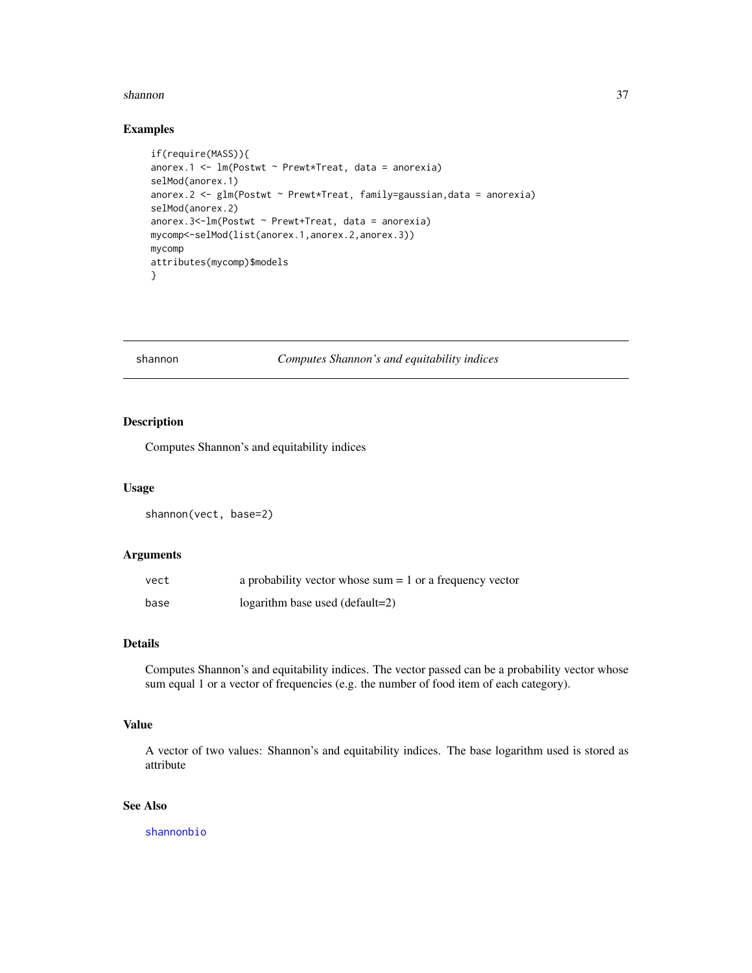#### <span id="page-36-0"></span>shannon 37

## Examples

```
if(require(MASS)){
anorex.1 <- lm(Postwt ~ Prewt*Treat, data = anorexia)
selMod(anorex.1)
anorex.2 <- glm(Postwt ~ Prewt*Treat, family=gaussian,data = anorexia)
selMod(anorex.2)
anorex.3<-lm(Postwt ~ Prewt+Treat, data = anorexia)
mycomp<-selMod(list(anorex.1,anorex.2,anorex.3))
mycomp
attributes(mycomp)$models
}
```
<span id="page-36-1"></span>shannon *Computes Shannon's and equitability indices*

# Description

Computes Shannon's and equitability indices

#### Usage

shannon(vect, base=2)

# Arguments

| vect | a probability vector whose sum $= 1$ or a frequency vector |
|------|------------------------------------------------------------|
| base | $logarithm$ base used (default=2)                          |

# Details

Computes Shannon's and equitability indices. The vector passed can be a probability vector whose sum equal 1 or a vector of frequencies (e.g. the number of food item of each category).

# Value

A vector of two values: Shannon's and equitability indices. The base logarithm used is stored as attribute

# See Also

[shannonbio](#page-37-1)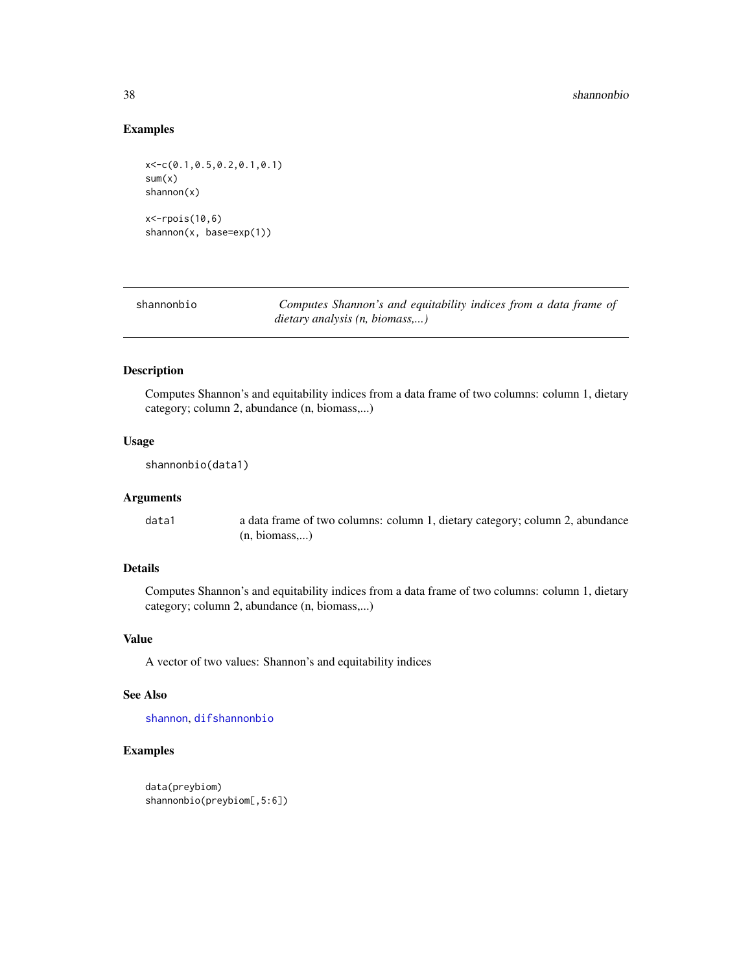# Examples

```
x<-c(0.1,0.5,0.2,0.1,0.1)
sum(x)shannon(x)
x<-rpois(10,6)
shannon(x, base=exp(1))
```
<span id="page-37-1"></span>shannonbio *Computes Shannon's and equitability indices from a data frame of dietary analysis (n, biomass,...)*

# Description

Computes Shannon's and equitability indices from a data frame of two columns: column 1, dietary category; column 2, abundance (n, biomass,...)

## Usage

```
shannonbio(data1)
```
# Arguments

data1 a data frame of two columns: column 1, dietary category; column 2, abundance (n, biomass,...)

# Details

Computes Shannon's and equitability indices from a data frame of two columns: column 1, dietary category; column 2, abundance (n, biomass,...)

#### Value

A vector of two values: Shannon's and equitability indices

# See Also

[shannon](#page-36-1), [difshannonbio](#page-9-1)

```
data(preybiom)
shannonbio(preybiom[,5:6])
```
<span id="page-37-0"></span>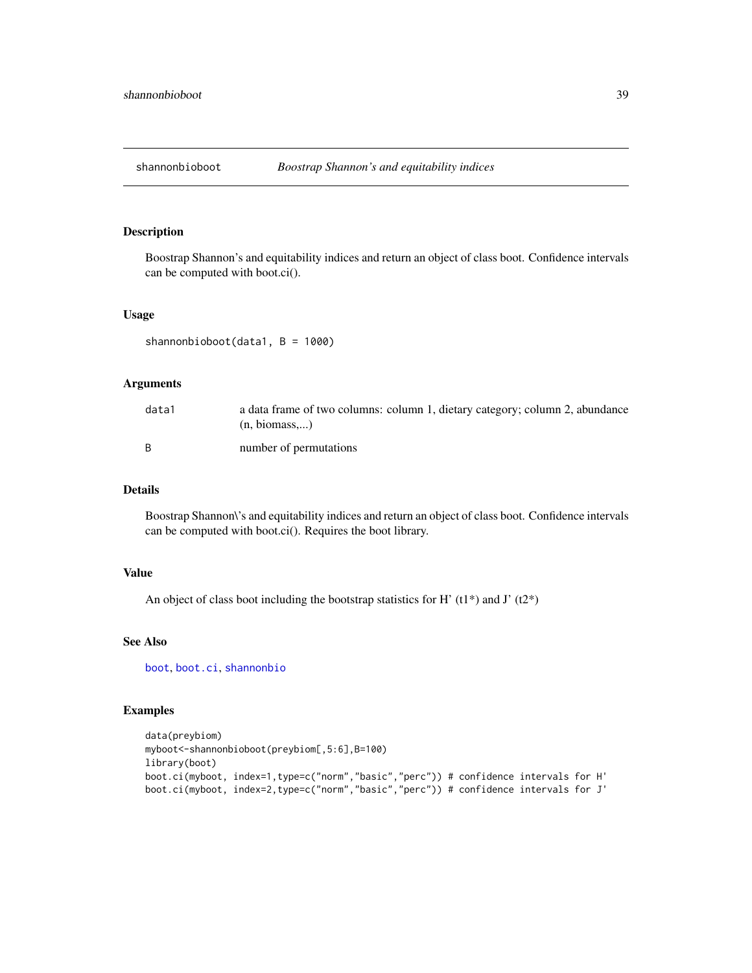<span id="page-38-0"></span>

Boostrap Shannon's and equitability indices and return an object of class boot. Confidence intervals can be computed with boot.ci().

#### Usage

shannonbioboot(data1, B = 1000)

## Arguments

| data1 | a data frame of two columns: column 1, dietary category; column 2, abundance<br>(n, <i>biomass</i> ) |
|-------|------------------------------------------------------------------------------------------------------|
|       | number of permutations                                                                               |

# Details

Boostrap Shannon\'s and equitability indices and return an object of class boot. Confidence intervals can be computed with boot.ci(). Requires the boot library.

## Value

An object of class boot including the bootstrap statistics for H'  $(t1*)$  and J'  $(t2*)$ 

# See Also

[boot](#page-0-0), [boot.ci](#page-0-0), [shannonbio](#page-37-1)

```
data(preybiom)
myboot<-shannonbioboot(preybiom[,5:6],B=100)
library(boot)
boot.ci(myboot, index=1,type=c("norm","basic","perc")) # confidence intervals for H'
boot.ci(myboot, index=2,type=c("norm","basic","perc")) # confidence intervals for J'
```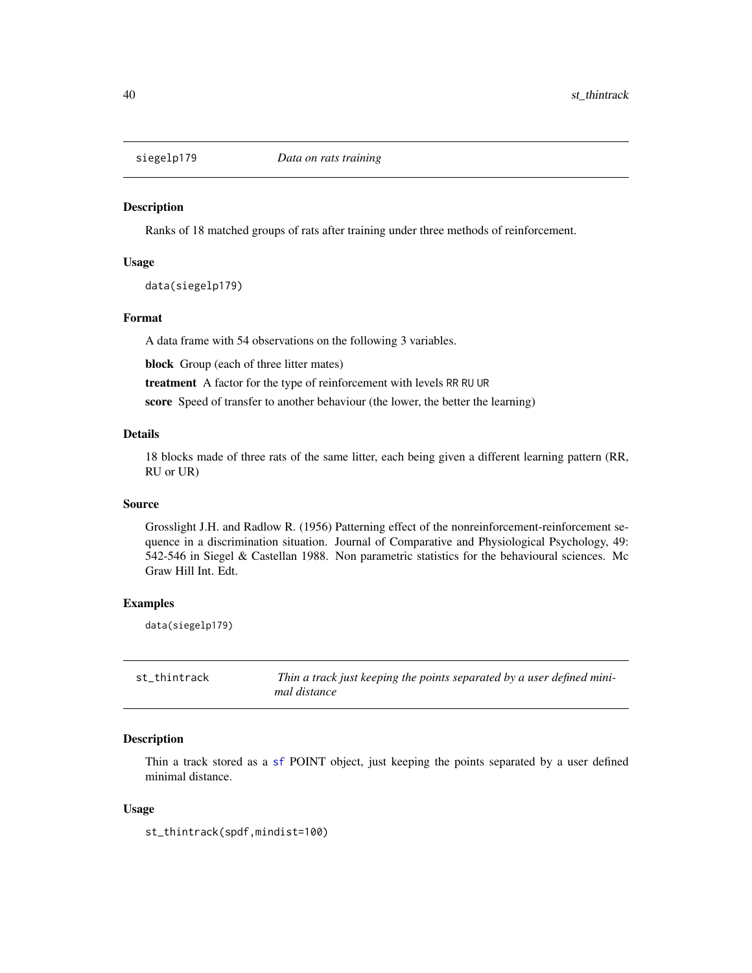<span id="page-39-0"></span>

Ranks of 18 matched groups of rats after training under three methods of reinforcement.

## Usage

data(siegelp179)

# Format

A data frame with 54 observations on the following 3 variables.

block Group (each of three litter mates)

treatment A factor for the type of reinforcement with levels RR RU UR

score Speed of transfer to another behaviour (the lower, the better the learning)

## Details

18 blocks made of three rats of the same litter, each being given a different learning pattern (RR, RU or UR)

## Source

Grosslight J.H. and Radlow R. (1956) Patterning effect of the nonreinforcement-reinforcement sequence in a discrimination situation. Journal of Comparative and Physiological Psychology, 49: 542-546 in Siegel & Castellan 1988. Non parametric statistics for the behavioural sciences. Mc Graw Hill Int. Edt.

## Examples

data(siegelp179)

<span id="page-39-1"></span>st\_thintrack *Thin a track just keeping the points separated by a user defined minimal distance*

## **Description**

Thin a track stored as a [sf](#page-0-0) POINT object, just keeping the points separated by a user defined minimal distance.

## Usage

st\_thintrack(spdf,mindist=100)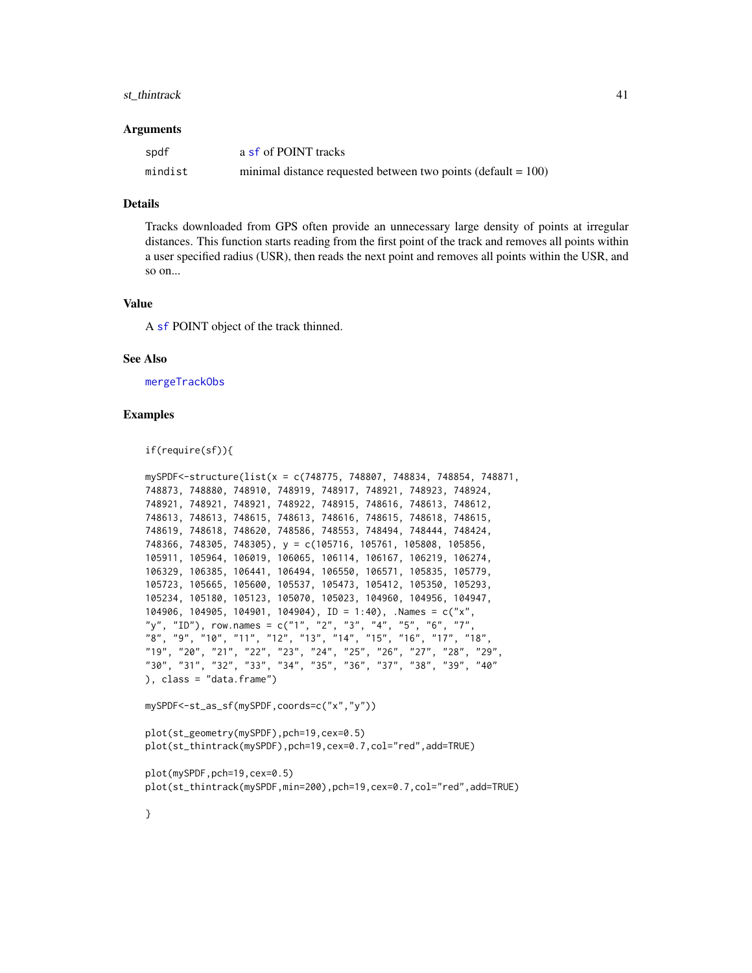#### <span id="page-40-0"></span>st\_thintrack 41

#### Arguments

| spdf    | a sf of POINT tracks                                             |
|---------|------------------------------------------------------------------|
| mindist | minimal distance requested between two points (default $= 100$ ) |

#### Details

Tracks downloaded from GPS often provide an unnecessary large density of points at irregular distances. This function starts reading from the first point of the track and removes all points within a user specified radius (USR), then reads the next point and removes all points within the USR, and so on...

#### Value

A [sf](#page-0-0) POINT object of the track thinned.

## See Also

[mergeTrackObs](#page-21-1)

## Examples

if(require(sf)){

```
mySPDF<-structure(list(x = c(748775, 748807, 748834, 748854, 748871,
748873, 748880, 748910, 748919, 748917, 748921, 748923, 748924,
748921, 748921, 748921, 748922, 748915, 748616, 748613, 748612,
748613, 748613, 748615, 748613, 748616, 748615, 748618, 748615,
748619, 748618, 748620, 748586, 748553, 748494, 748444, 748424,
748366, 748305, 748305), y = c(105716, 105761, 105808, 105856,
105911, 105964, 106019, 106065, 106114, 106167, 106219, 106274,
106329, 106385, 106441, 106494, 106550, 106571, 105835, 105779,
105723, 105665, 105600, 105537, 105473, 105412, 105350, 105293,
105234, 105180, 105123, 105070, 105023, 104960, 104956, 104947,
104906, 104905, 104901, 104904), ID = 1:40), .Names = c("x",
"y", "ID"), row.names = c("1", "2", "3", "4", "5", "6", "7",
"8", "9", "10", "11", "12", "13", "14", "15", "16", "17", "18",
"19", "20", "21", "22", "23", "24", "25", "26", "27", "28", "29",
"30", "31", "32", "33", "34", "35", "36", "37", "38", "39", "40"
), class = "data.frame")
```

```
mySPDF<-st_as_sf(mySPDF,coords=c("x","y"))
```

```
plot(st_geometry(mySPDF),pch=19,cex=0.5)
plot(st_thintrack(mySPDF),pch=19,cex=0.7,col="red",add=TRUE)
```
plot(mySPDF,pch=19,cex=0.5) plot(st\_thintrack(mySPDF,min=200),pch=19,cex=0.7,col="red",add=TRUE)

}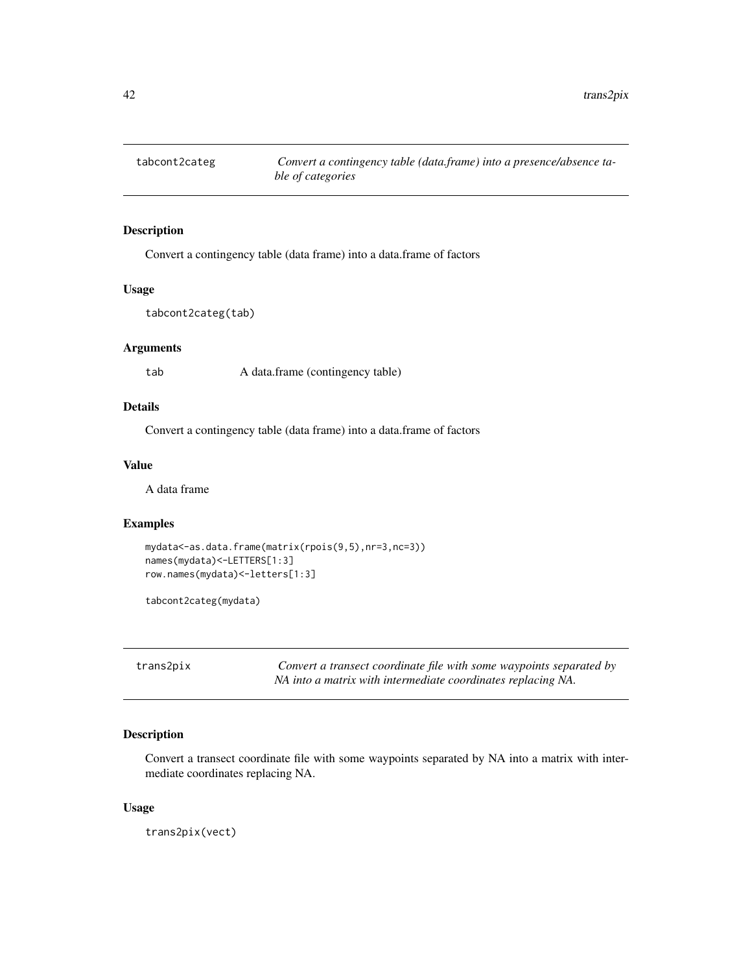<span id="page-41-0"></span>

Convert a contingency table (data frame) into a data.frame of factors

# Usage

```
tabcont2categ(tab)
```
# Arguments

tab A data.frame (contingency table)

# Details

Convert a contingency table (data frame) into a data.frame of factors

# Value

A data frame

## Examples

```
mydata<-as.data.frame(matrix(rpois(9,5),nr=3,nc=3))
names(mydata)<-LETTERS[1:3]
row.names(mydata)<-letters[1:3]
```
tabcont2categ(mydata)

<span id="page-41-1"></span>trans2pix *Convert a transect coordinate file with some waypoints separated by NA into a matrix with intermediate coordinates replacing NA.*

# Description

Convert a transect coordinate file with some waypoints separated by NA into a matrix with intermediate coordinates replacing NA.

## Usage

trans2pix(vect)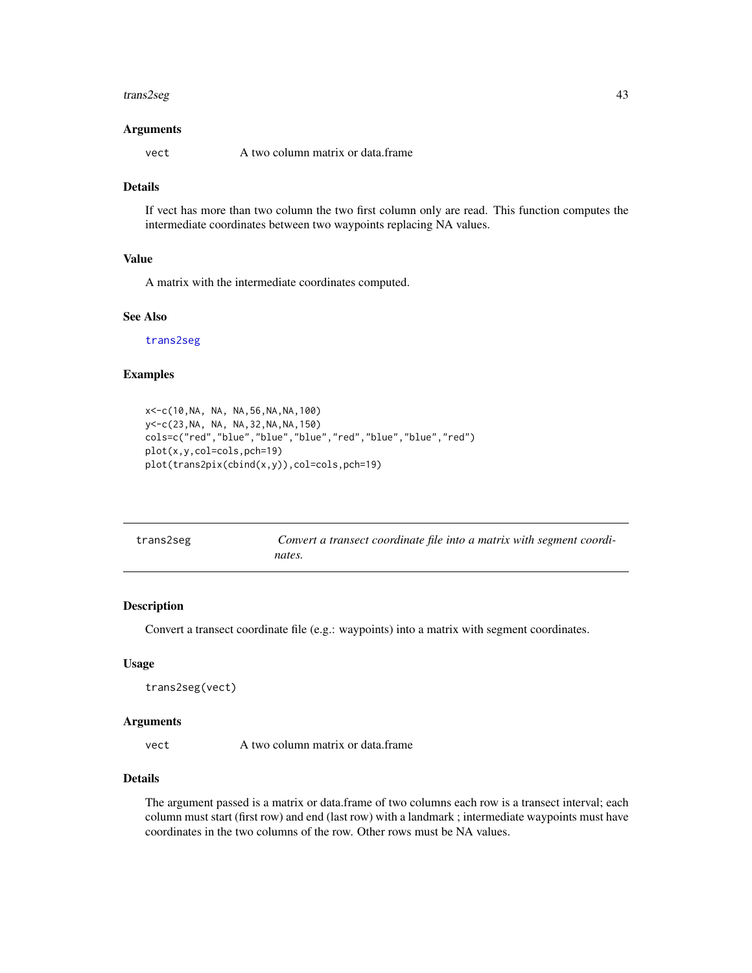#### <span id="page-42-0"></span>trans2seg 43

## Arguments

vect A two column matrix or data.frame

# Details

If vect has more than two column the two first column only are read. This function computes the intermediate coordinates between two waypoints replacing NA values.

# Value

A matrix with the intermediate coordinates computed.

# See Also

[trans2seg](#page-42-1)

# Examples

```
x<-c(10,NA, NA, NA,56,NA,NA,100)
y<-c(23,NA, NA, NA,32,NA,NA,150)
cols=c("red","blue","blue","blue","red","blue","blue","red")
plot(x,y,col=cols,pch=19)
plot(trans2pix(cbind(x,y)),col=cols,pch=19)
```
<span id="page-42-1"></span>

| trans2seg | Convert a transect coordinate file into a matrix with segment coordi- |
|-----------|-----------------------------------------------------------------------|
|           | nates.                                                                |

# Description

Convert a transect coordinate file (e.g.: waypoints) into a matrix with segment coordinates.

#### Usage

```
trans2seg(vect)
```
#### Arguments

vect A two column matrix or data.frame

# Details

The argument passed is a matrix or data.frame of two columns each row is a transect interval; each column must start (first row) and end (last row) with a landmark ; intermediate waypoints must have coordinates in the two columns of the row. Other rows must be NA values.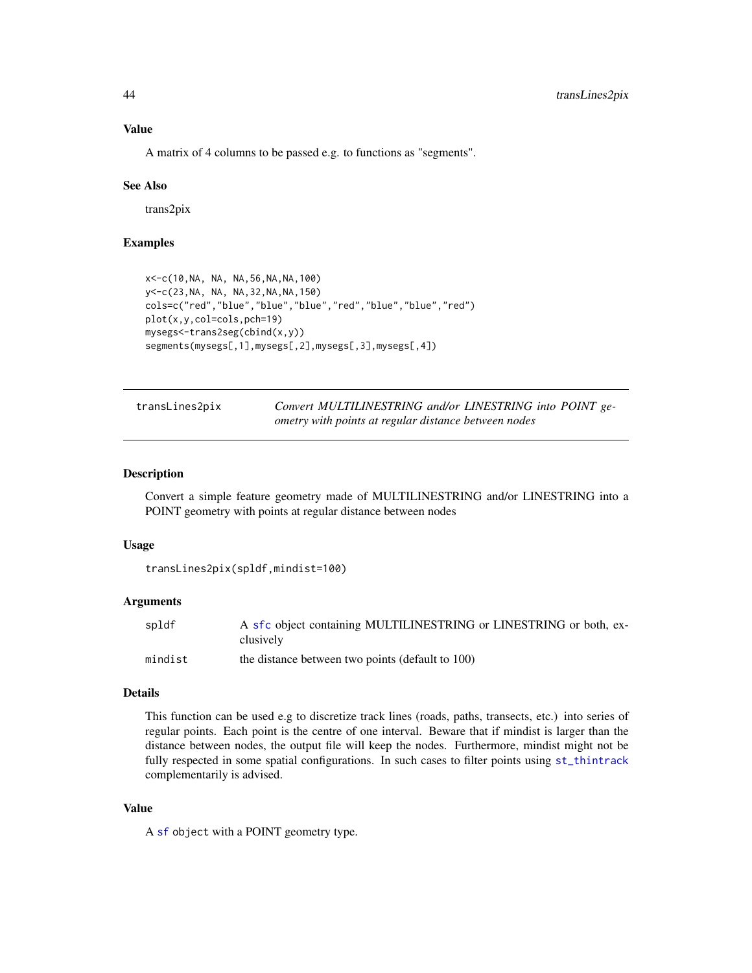<span id="page-43-0"></span>A matrix of 4 columns to be passed e.g. to functions as "segments".

## See Also

trans2pix

# Examples

```
x<-c(10,NA, NA, NA,56,NA,NA,100)
y<-c(23,NA, NA, NA,32,NA,NA,150)
cols=c("red","blue","blue","blue","red","blue","blue","red")
plot(x,y,col=cols,pch=19)
mysegs<-trans2seg(cbind(x,y))
segments(mysegs[,1],mysegs[,2],mysegs[,3],mysegs[,4])
```
<span id="page-43-1"></span>

| transLines2pix | Convert MULTILINESTRING and/or LINESTRING into POINT ge- |
|----------------|----------------------------------------------------------|
|                | ometry with points at regular distance between nodes     |

# Description

Convert a simple feature geometry made of MULTILINESTRING and/or LINESTRING into a POINT geometry with points at regular distance between nodes

## Usage

```
transLines2pix(spldf,mindist=100)
```
## Arguments

| spldf   | A sfc object containing MULTILINESTRING or LINESTRING or both, ex- |
|---------|--------------------------------------------------------------------|
|         | clusively                                                          |
| mindist | the distance between two points (default to 100)                   |

#### Details

This function can be used e.g to discretize track lines (roads, paths, transects, etc.) into series of regular points. Each point is the centre of one interval. Beware that if mindist is larger than the distance between nodes, the output file will keep the nodes. Furthermore, mindist might not be fully respected in some spatial configurations. In such cases to filter points using [st\\_thintrack](#page-39-1) complementarily is advised.

## Value

A [sf](#page-0-0) object with a POINT geometry type.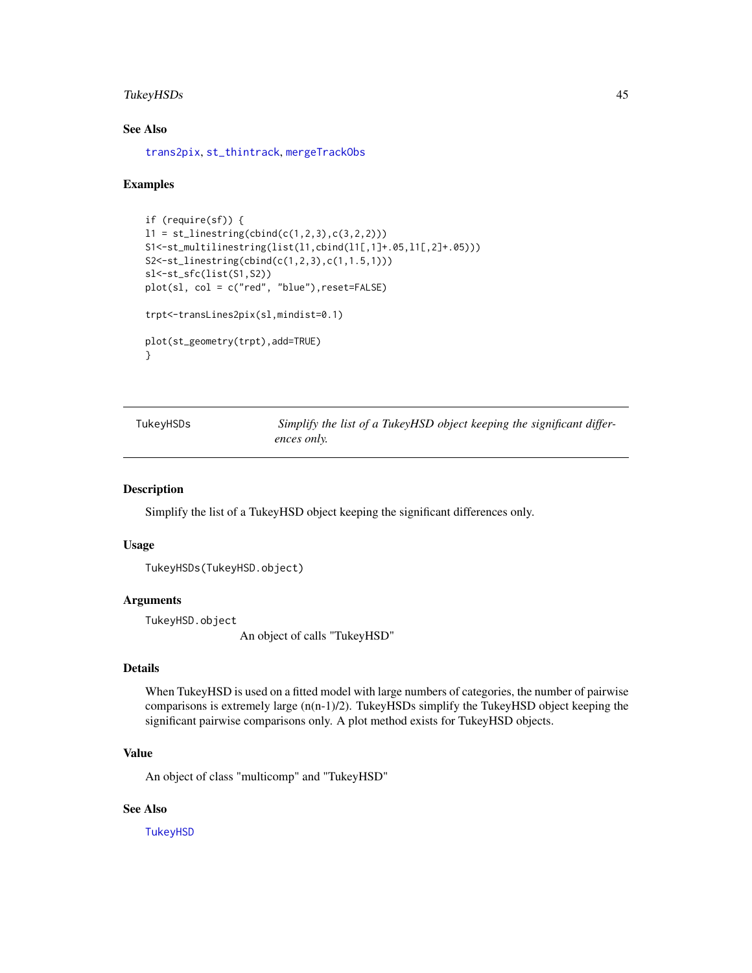# <span id="page-44-0"></span>TukeyHSDs 45

# See Also

[trans2pix](#page-41-1), [st\\_thintrack](#page-39-1), [mergeTrackObs](#page-21-1)

## Examples

```
if (require(sf)) {
11 = st_{\text{linestring}}(\text{cbind}(c(1,2,3), c(3,2,2)))S1<-st_multilinestring(list(l1,cbind(l1[,1]+.05,l1[,2]+.05)))
S2<-st_linestring(cbind(c(1,2,3),c(1,1.5,1)))
sl<-st_sfc(list(S1,S2))
plot(sl, col = c("red", "blue"),reset=FALSE)
trpt<-transLines2pix(sl,mindist=0.1)
plot(st_geometry(trpt),add=TRUE)
}
```

| TukeyHSDs | Simplify the list of a TukeyHSD object keeping the significant differ- |  |  |  |  |
|-----------|------------------------------------------------------------------------|--|--|--|--|
|           | ences only.                                                            |  |  |  |  |

#### Description

Simplify the list of a TukeyHSD object keeping the significant differences only.

## Usage

```
TukeyHSDs(TukeyHSD.object)
```
# Arguments

TukeyHSD.object

An object of calls "TukeyHSD"

# Details

When TukeyHSD is used on a fitted model with large numbers of categories, the number of pairwise comparisons is extremely large  $(n(n-1)/2)$ . TukeyHSDs simplify the TukeyHSD object keeping the significant pairwise comparisons only. A plot method exists for TukeyHSD objects.

# Value

An object of class "multicomp" and "TukeyHSD"

# See Also

**[TukeyHSD](#page-0-0)**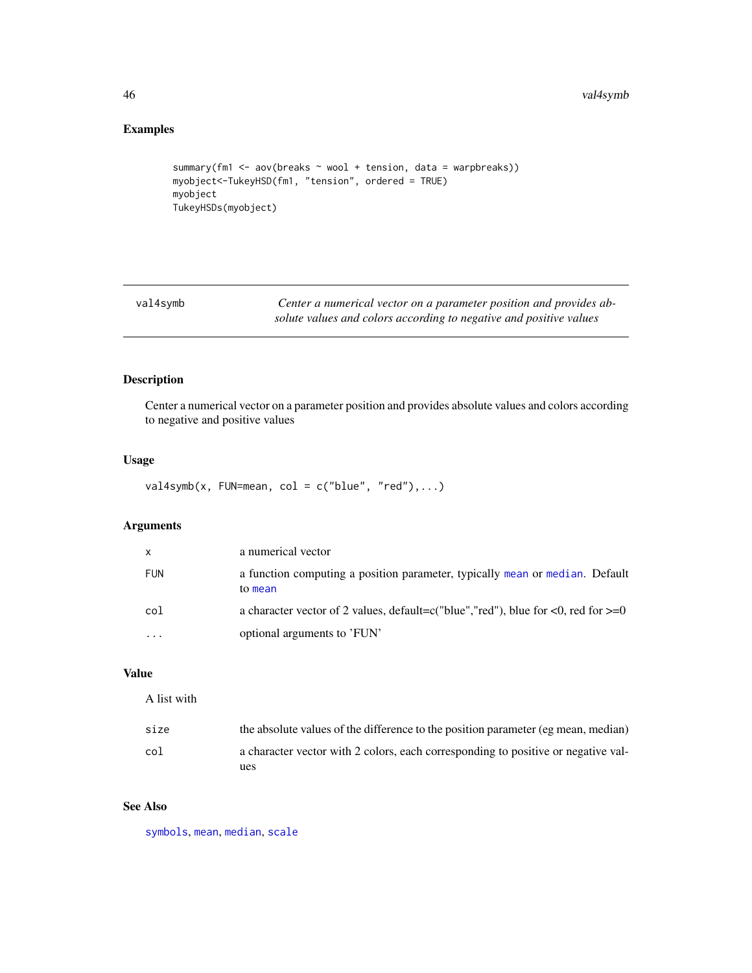#### 46 val4symb

# Examples

```
summary(fm1 <- aov(breaks ~ wool + tension, data = warpbreaks))
myobject<-TukeyHSD(fm1, "tension", ordered = TRUE)
myobject
TukeyHSDs(myobject)
```

| val4symb | Center a numerical vector on a parameter position and provides ab- |
|----------|--------------------------------------------------------------------|
|          | solute values and colors according to negative and positive values |

# Description

Center a numerical vector on a parameter position and provides absolute values and colors according to negative and positive values

# Usage

```
val4symb(x, FUN=mean, col = c("blue", "red"),...)
```
# Arguments

| X          | a numerical vector                                                                              |
|------------|-------------------------------------------------------------------------------------------------|
| <b>FUN</b> | a function computing a position parameter, typically mean or median. Default<br>to mean         |
| col        | a character vector of 2 values, default=c("blue","red"), blue for $\leq 0$ , red for $\geq = 0$ |
| .          | optional arguments to 'FUN'                                                                     |

# Value

A list with

| size | the absolute values of the difference to the position parameter (eg mean, median)        |
|------|------------------------------------------------------------------------------------------|
| col  | a character vector with 2 colors, each corresponding to positive or negative val-<br>ues |

# See Also

[symbols](#page-0-0), [mean](#page-0-0), [median](#page-0-0), [scale](#page-0-0)

<span id="page-45-0"></span>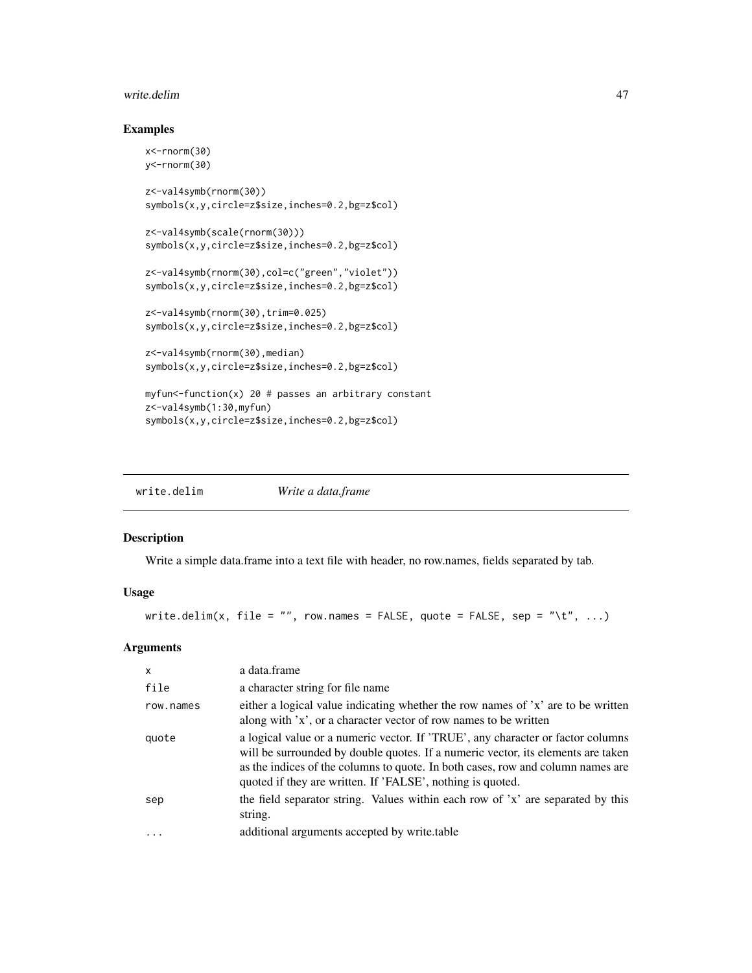#### <span id="page-46-0"></span>write.delim and the set of the set of the set of the set of the set of the set of the set of the set of the set of the set of the set of the set of the set of the set of the set of the set of the set of the set of the set

# Examples

```
x<-rnorm(30)
y<-rnorm(30)
z<-val4symb(rnorm(30))
symbols(x,y,circle=z$size,inches=0.2,bg=z$col)
z<-val4symb(scale(rnorm(30)))
symbols(x,y,circle=z$size,inches=0.2,bg=z$col)
z<-val4symb(rnorm(30),col=c("green","violet"))
symbols(x,y,circle=z$size,inches=0.2,bg=z$col)
z<-val4symb(rnorm(30),trim=0.025)
symbols(x,y,circle=z$size,inches=0.2,bg=z$col)
z<-val4symb(rnorm(30),median)
symbols(x,y,circle=z$size,inches=0.2,bg=z$col)
myfun<-function(x) 20 # passes an arbitrary constant
z<-val4symb(1:30,myfun)
symbols(x,y,circle=z$size,inches=0.2,bg=z$col)
```

| write.delim | Write a data.frame |
|-------------|--------------------|
|-------------|--------------------|

#### Description

Write a simple data.frame into a text file with header, no row.names, fields separated by tab.

## Usage

```
write.delim(x, file = "", row.names = FALSE, quote = FALSE, sep = "\t", ...)
```
# Arguments

| $\mathsf{x}$ | a data.frame                                                                                                                                                                                                                                                                                                         |
|--------------|----------------------------------------------------------------------------------------------------------------------------------------------------------------------------------------------------------------------------------------------------------------------------------------------------------------------|
| file         | a character string for file name                                                                                                                                                                                                                                                                                     |
| row.names    | either a logical value indicating whether the row names of $x'$ are to be written<br>along with 'x', or a character vector of row names to be written                                                                                                                                                                |
| quote        | a logical value or a numeric vector. If 'TRUE', any character or factor columns<br>will be surrounded by double quotes. If a numeric vector, its elements are taken<br>as the indices of the columns to quote. In both cases, row and column names are<br>quoted if they are written. If 'FALSE', nothing is quoted. |
| sep          | the field separator string. Values within each row of 'x' are separated by this<br>string.                                                                                                                                                                                                                           |
|              | additional arguments accepted by write table                                                                                                                                                                                                                                                                         |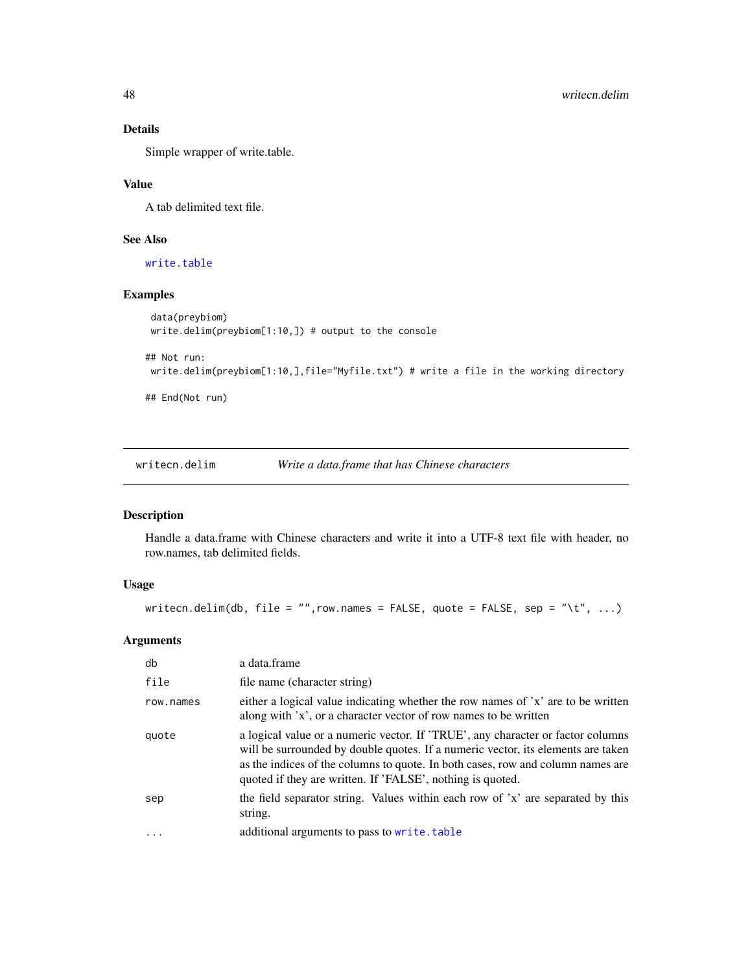# Details

Simple wrapper of write.table.

# Value

A tab delimited text file.

# See Also

[write.table](#page-0-0)

# Examples

```
data(preybiom)
write.delim(preybiom[1:10,]) # output to the console
```

```
## Not run:
```

```
write.delim(preybiom[1:10,],file="Myfile.txt") # write a file in the working directory
```
## End(Not run)

writecn.delim *Write a data.frame that has Chinese characters*

# Description

Handle a data.frame with Chinese characters and write it into a UTF-8 text file with header, no row.names, tab delimited fields.

# Usage

writecn.delim(db, file = "", row.names = FALSE, quote = FALSE, sep = "\t", ...)

# Arguments

| db        | a data.frame                                                                                                                                                                                                                                                                                                         |
|-----------|----------------------------------------------------------------------------------------------------------------------------------------------------------------------------------------------------------------------------------------------------------------------------------------------------------------------|
| file      | file name (character string)                                                                                                                                                                                                                                                                                         |
| row.names | either a logical value indicating whether the row names of 'x' are to be written<br>along with 'x', or a character vector of row names to be written                                                                                                                                                                 |
| quote     | a logical value or a numeric vector. If 'TRUE', any character or factor columns<br>will be surrounded by double quotes. If a numeric vector, its elements are taken<br>as the indices of the columns to quote. In both cases, row and column names are<br>quoted if they are written. If 'FALSE', nothing is quoted. |
| sep       | the field separator string. Values within each row of 'x' are separated by this<br>string.                                                                                                                                                                                                                           |
|           | additional arguments to pass to write.table                                                                                                                                                                                                                                                                          |

<span id="page-47-0"></span>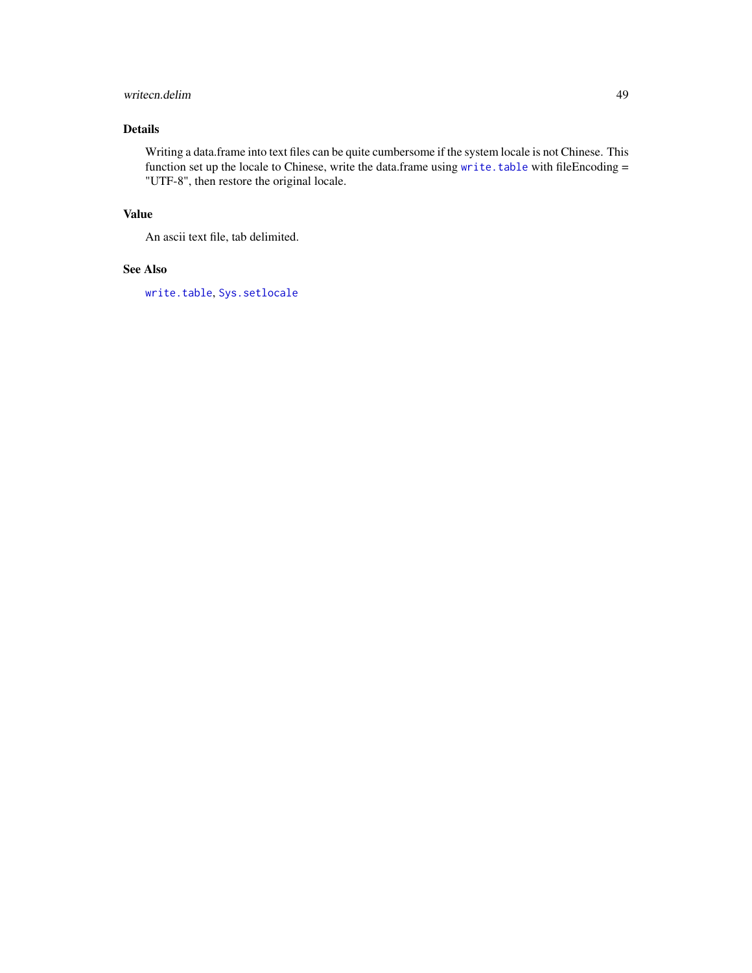# <span id="page-48-0"></span>writecn.delim 49

# Details

Writing a data.frame into text files can be quite cumbersome if the system locale is not Chinese. This function set up the locale to Chinese, write the data.frame using [write.table](#page-0-0) with fileEncoding = "UTF-8", then restore the original locale.

# Value

An ascii text file, tab delimited.

# See Also

[write.table](#page-0-0), [Sys.setlocale](#page-0-0)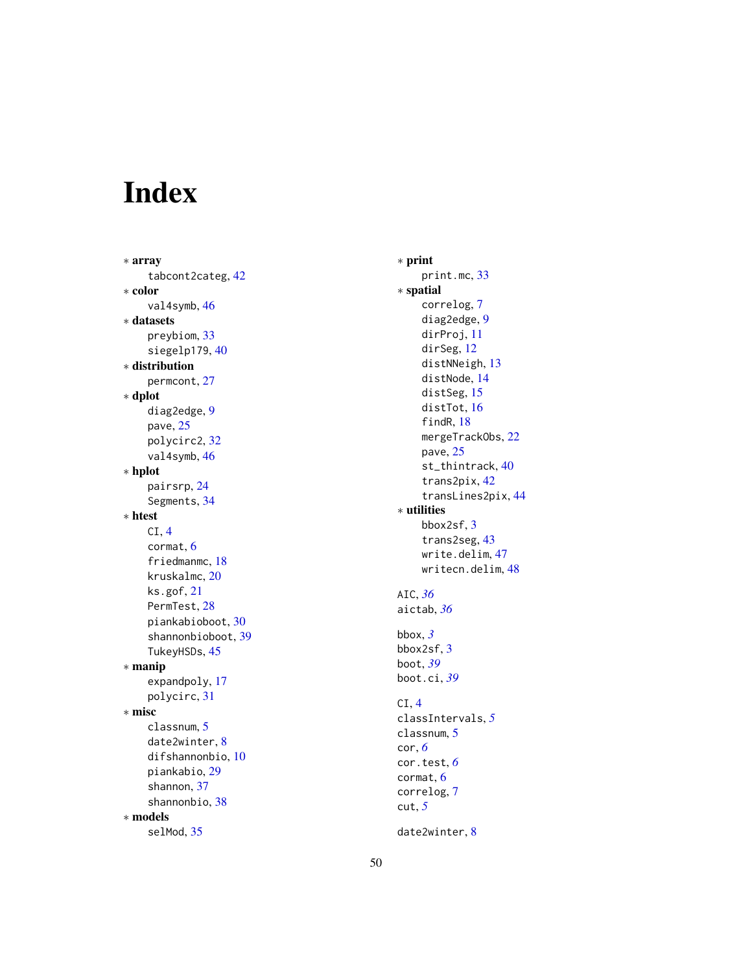# <span id="page-49-0"></span>Index

∗ array tabcont2categ , [42](#page-41-0) ∗ color val4symb , [46](#page-45-0) ∗ datasets preybiom , [33](#page-32-0) siegelp179, [40](#page-39-0) ∗ distribution permcont , [27](#page-26-0) ∗ dplot diag2edge , [9](#page-8-0) pave , [25](#page-24-0) polycirc2 , [32](#page-31-0) val4symb , [46](#page-45-0) ∗ hplot pairsrp , [24](#page-23-0) Segments , [34](#page-33-0) ∗ htest CI , [4](#page-3-0) cormat , [6](#page-5-0) friedmanmc , [18](#page-17-0) kruskalmc , [20](#page-19-0) ks.gof , [21](#page-20-0) PermTest, [28](#page-27-0) piankabioboot , [30](#page-29-0) shannonbioboot , [39](#page-38-0) TukeyHSDs , [45](#page-44-0) ∗ manip expandpoly , [17](#page-16-0) polycirc , [31](#page-30-0) ∗ misc classnum , [5](#page-4-0) date2winter , [8](#page-7-0) difshannonbio , [10](#page-9-0) piankabio , [29](#page-28-0) shannon , [37](#page-36-0) shannonbio , [38](#page-37-0) ∗ models selMod , [35](#page-34-0)

∗ print print.mc , [33](#page-32-0) ∗ spatial correlog , [7](#page-6-0) diag2edge, [9](#page-8-0) dirProj , [11](#page-10-0) dirSeg, [12](#page-11-0) distNNeigh , [13](#page-12-0) distNode , [14](#page-13-0) distSeg, [15](#page-14-0) distTot , [16](#page-15-0) findR , [18](#page-17-0) mergeTrackObs, [22](#page-21-0) pave, [25](#page-24-0) st\_thintrack , [40](#page-39-0) trans2pix , [42](#page-41-0) transLines2pix , [44](#page-43-0) ∗ utilities bbox2sf , [3](#page-2-0) trans2seg , [43](#page-42-0) write.delim , [47](#page-46-0) writecn.delim, [48](#page-47-0) AIC , *[36](#page-35-0)* aictab , *[36](#page-35-0)* bbox , *[3](#page-2-0)* bbox2sf , [3](#page-2-0) boot , *[39](#page-38-0)* boot.ci , *[39](#page-38-0)* CI , [4](#page-3-0) classIntervals , *[5](#page-4-0)* classnum, [5](#page-4-0) cor , *[6](#page-5-0)* cor.test , *[6](#page-5-0)* cormat , [6](#page-5-0) correlog , [7](#page-6-0) cut , *[5](#page-4-0)* date2winter, <mark>[8](#page-7-0)</mark>